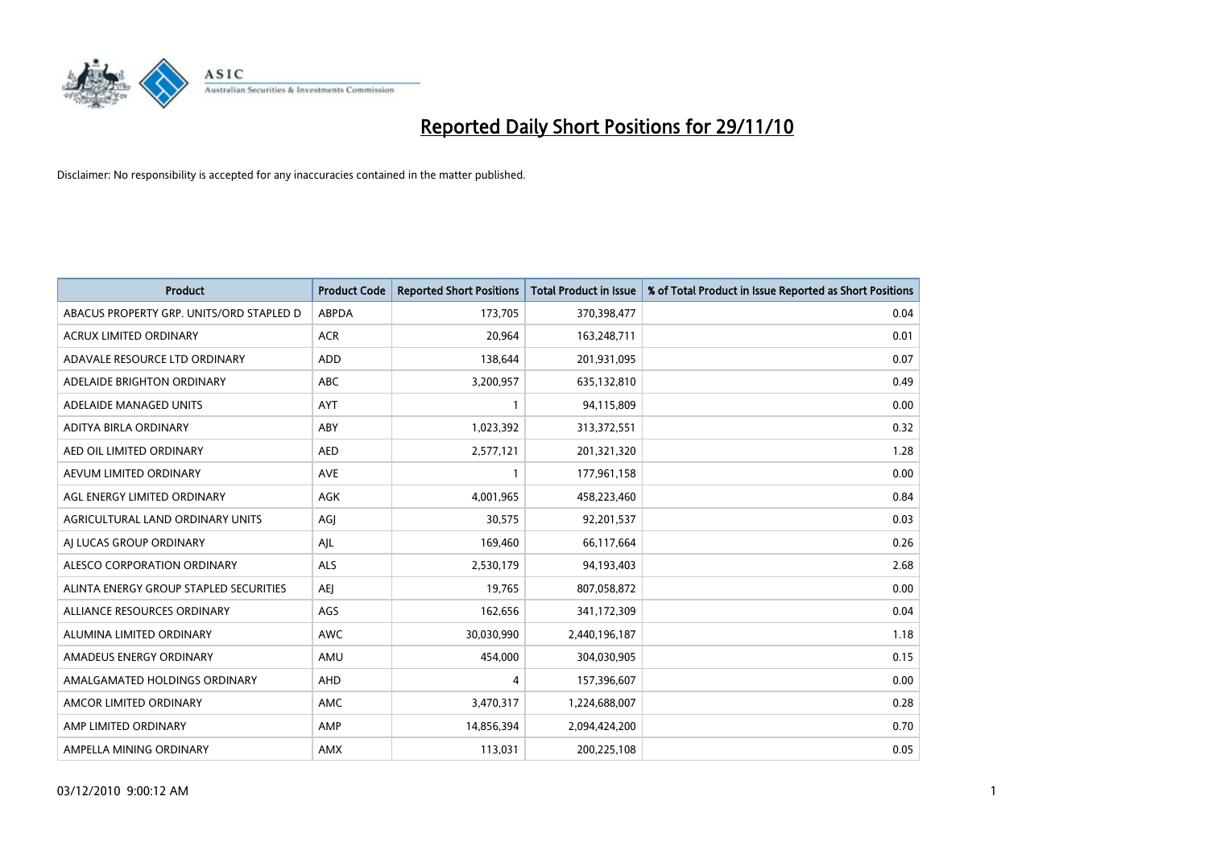

| <b>Product</b>                           | <b>Product Code</b> | <b>Reported Short Positions</b> | <b>Total Product in Issue</b> | % of Total Product in Issue Reported as Short Positions |
|------------------------------------------|---------------------|---------------------------------|-------------------------------|---------------------------------------------------------|
| ABACUS PROPERTY GRP. UNITS/ORD STAPLED D | <b>ABPDA</b>        | 173,705                         | 370,398,477                   | 0.04                                                    |
| ACRUX LIMITED ORDINARY                   | <b>ACR</b>          | 20,964                          | 163,248,711                   | 0.01                                                    |
| ADAVALE RESOURCE LTD ORDINARY            | ADD                 | 138,644                         | 201,931,095                   | 0.07                                                    |
| ADELAIDE BRIGHTON ORDINARY               | <b>ABC</b>          | 3,200,957                       | 635,132,810                   | 0.49                                                    |
| ADELAIDE MANAGED UNITS                   | <b>AYT</b>          |                                 | 94,115,809                    | 0.00                                                    |
| ADITYA BIRLA ORDINARY                    | ABY                 | 1,023,392                       | 313,372,551                   | 0.32                                                    |
| AED OIL LIMITED ORDINARY                 | <b>AED</b>          | 2,577,121                       | 201,321,320                   | 1.28                                                    |
| AEVUM LIMITED ORDINARY                   | <b>AVE</b>          |                                 | 177,961,158                   | 0.00                                                    |
| AGL ENERGY LIMITED ORDINARY              | <b>AGK</b>          | 4,001,965                       | 458,223,460                   | 0.84                                                    |
| AGRICULTURAL LAND ORDINARY UNITS         | AGI                 | 30,575                          | 92,201,537                    | 0.03                                                    |
| AI LUCAS GROUP ORDINARY                  | AJL                 | 169,460                         | 66,117,664                    | 0.26                                                    |
| ALESCO CORPORATION ORDINARY              | <b>ALS</b>          | 2,530,179                       | 94,193,403                    | 2.68                                                    |
| ALINTA ENERGY GROUP STAPLED SECURITIES   | <b>AEI</b>          | 19,765                          | 807,058,872                   | 0.00                                                    |
| ALLIANCE RESOURCES ORDINARY              | AGS                 | 162,656                         | 341,172,309                   | 0.04                                                    |
| ALUMINA LIMITED ORDINARY                 | <b>AWC</b>          | 30,030,990                      | 2,440,196,187                 | 1.18                                                    |
| AMADEUS ENERGY ORDINARY                  | AMU                 | 454,000                         | 304,030,905                   | 0.15                                                    |
| AMALGAMATED HOLDINGS ORDINARY            | AHD                 | 4                               | 157,396,607                   | 0.00                                                    |
| AMCOR LIMITED ORDINARY                   | AMC                 | 3,470,317                       | 1,224,688,007                 | 0.28                                                    |
| AMP LIMITED ORDINARY                     | AMP                 | 14,856,394                      | 2,094,424,200                 | 0.70                                                    |
| AMPELLA MINING ORDINARY                  | <b>AMX</b>          | 113,031                         | 200,225,108                   | 0.05                                                    |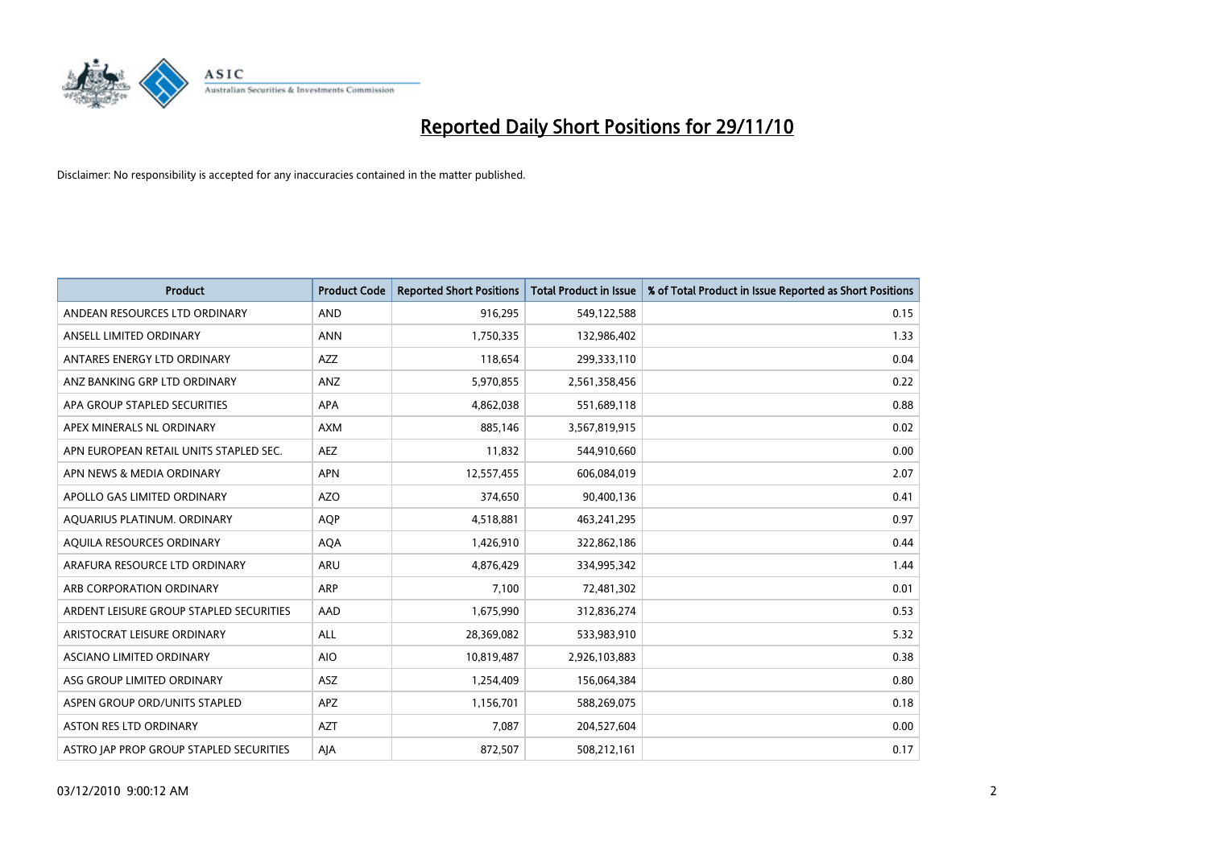

| <b>Product</b>                          | <b>Product Code</b> | <b>Reported Short Positions</b> | Total Product in Issue | % of Total Product in Issue Reported as Short Positions |
|-----------------------------------------|---------------------|---------------------------------|------------------------|---------------------------------------------------------|
| ANDEAN RESOURCES LTD ORDINARY           | <b>AND</b>          | 916,295                         | 549,122,588            | 0.15                                                    |
| ANSELL LIMITED ORDINARY                 | <b>ANN</b>          | 1,750,335                       | 132,986,402            | 1.33                                                    |
| ANTARES ENERGY LTD ORDINARY             | <b>AZZ</b>          | 118,654                         | 299,333,110            | 0.04                                                    |
| ANZ BANKING GRP LTD ORDINARY            | ANZ                 | 5,970,855                       | 2,561,358,456          | 0.22                                                    |
| APA GROUP STAPLED SECURITIES            | <b>APA</b>          | 4,862,038                       | 551,689,118            | 0.88                                                    |
| APEX MINERALS NL ORDINARY               | <b>AXM</b>          | 885,146                         | 3,567,819,915          | 0.02                                                    |
| APN EUROPEAN RETAIL UNITS STAPLED SEC.  | <b>AEZ</b>          | 11,832                          | 544,910,660            | 0.00                                                    |
| APN NEWS & MEDIA ORDINARY               | <b>APN</b>          | 12,557,455                      | 606,084,019            | 2.07                                                    |
| APOLLO GAS LIMITED ORDINARY             | <b>AZO</b>          | 374,650                         | 90,400,136             | 0.41                                                    |
| AOUARIUS PLATINUM, ORDINARY             | <b>AOP</b>          | 4,518,881                       | 463,241,295            | 0.97                                                    |
| AQUILA RESOURCES ORDINARY               | <b>AQA</b>          | 1,426,910                       | 322,862,186            | 0.44                                                    |
| ARAFURA RESOURCE LTD ORDINARY           | ARU                 | 4,876,429                       | 334,995,342            | 1.44                                                    |
| ARB CORPORATION ORDINARY                | <b>ARP</b>          | 7.100                           | 72,481,302             | 0.01                                                    |
| ARDENT LEISURE GROUP STAPLED SECURITIES | AAD                 | 1,675,990                       | 312,836,274            | 0.53                                                    |
| ARISTOCRAT LEISURE ORDINARY             | ALL                 | 28,369,082                      | 533,983,910            | 5.32                                                    |
| ASCIANO LIMITED ORDINARY                | <b>AIO</b>          | 10,819,487                      | 2,926,103,883          | 0.38                                                    |
| ASG GROUP LIMITED ORDINARY              | <b>ASZ</b>          | 1,254,409                       | 156,064,384            | 0.80                                                    |
| ASPEN GROUP ORD/UNITS STAPLED           | <b>APZ</b>          | 1,156,701                       | 588,269,075            | 0.18                                                    |
| <b>ASTON RES LTD ORDINARY</b>           | <b>AZT</b>          | 7.087                           | 204,527,604            | 0.00                                                    |
| ASTRO JAP PROP GROUP STAPLED SECURITIES | AJA                 | 872,507                         | 508,212,161            | 0.17                                                    |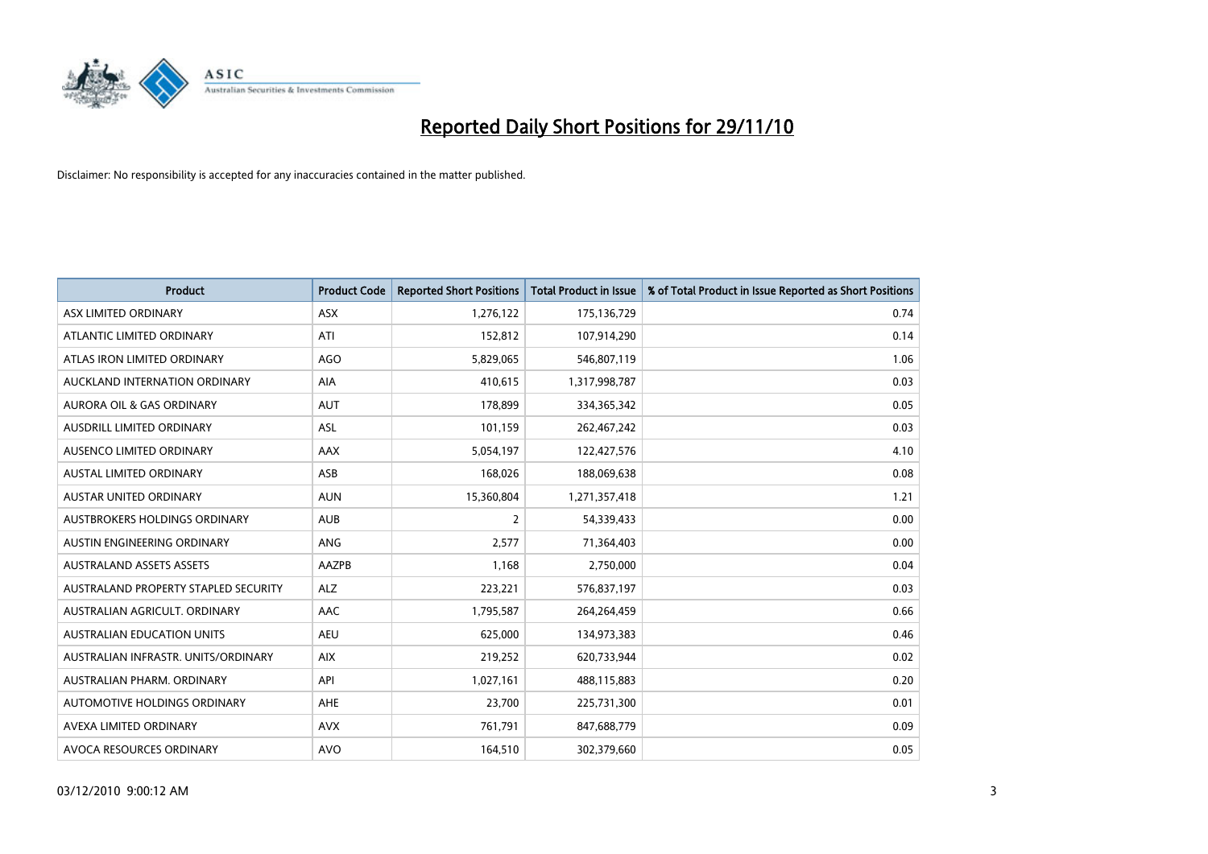

| <b>Product</b>                       | <b>Product Code</b> | <b>Reported Short Positions</b> | <b>Total Product in Issue</b> | % of Total Product in Issue Reported as Short Positions |
|--------------------------------------|---------------------|---------------------------------|-------------------------------|---------------------------------------------------------|
| ASX LIMITED ORDINARY                 | <b>ASX</b>          | 1,276,122                       | 175,136,729                   | 0.74                                                    |
| ATLANTIC LIMITED ORDINARY            | ATI                 | 152,812                         | 107,914,290                   | 0.14                                                    |
| ATLAS IRON LIMITED ORDINARY          | <b>AGO</b>          | 5,829,065                       | 546,807,119                   | 1.06                                                    |
| AUCKLAND INTERNATION ORDINARY        | AIA                 | 410,615                         | 1,317,998,787                 | 0.03                                                    |
| <b>AURORA OIL &amp; GAS ORDINARY</b> | <b>AUT</b>          | 178,899                         | 334,365,342                   | 0.05                                                    |
| AUSDRILL LIMITED ORDINARY            | ASL                 | 101,159                         | 262,467,242                   | 0.03                                                    |
| AUSENCO LIMITED ORDINARY             | <b>AAX</b>          | 5,054,197                       | 122,427,576                   | 4.10                                                    |
| <b>AUSTAL LIMITED ORDINARY</b>       | ASB                 | 168,026                         | 188,069,638                   | 0.08                                                    |
| AUSTAR UNITED ORDINARY               | <b>AUN</b>          | 15,360,804                      | 1,271,357,418                 | 1.21                                                    |
| <b>AUSTBROKERS HOLDINGS ORDINARY</b> | <b>AUB</b>          | $\overline{2}$                  | 54,339,433                    | 0.00                                                    |
| AUSTIN ENGINEERING ORDINARY          | <b>ANG</b>          | 2,577                           | 71,364,403                    | 0.00                                                    |
| <b>AUSTRALAND ASSETS ASSETS</b>      | AAZPB               | 1,168                           | 2,750,000                     | 0.04                                                    |
| AUSTRALAND PROPERTY STAPLED SECURITY | <b>ALZ</b>          | 223,221                         | 576,837,197                   | 0.03                                                    |
| AUSTRALIAN AGRICULT, ORDINARY        | AAC                 | 1,795,587                       | 264,264,459                   | 0.66                                                    |
| <b>AUSTRALIAN EDUCATION UNITS</b>    | <b>AEU</b>          | 625,000                         | 134,973,383                   | 0.46                                                    |
| AUSTRALIAN INFRASTR. UNITS/ORDINARY  | <b>AIX</b>          | 219,252                         | 620,733,944                   | 0.02                                                    |
| AUSTRALIAN PHARM, ORDINARY           | API                 | 1,027,161                       | 488,115,883                   | 0.20                                                    |
| AUTOMOTIVE HOLDINGS ORDINARY         | AHE                 | 23,700                          | 225,731,300                   | 0.01                                                    |
| AVEXA LIMITED ORDINARY               | <b>AVX</b>          | 761,791                         | 847,688,779                   | 0.09                                                    |
| AVOCA RESOURCES ORDINARY             | <b>AVO</b>          | 164,510                         | 302,379,660                   | 0.05                                                    |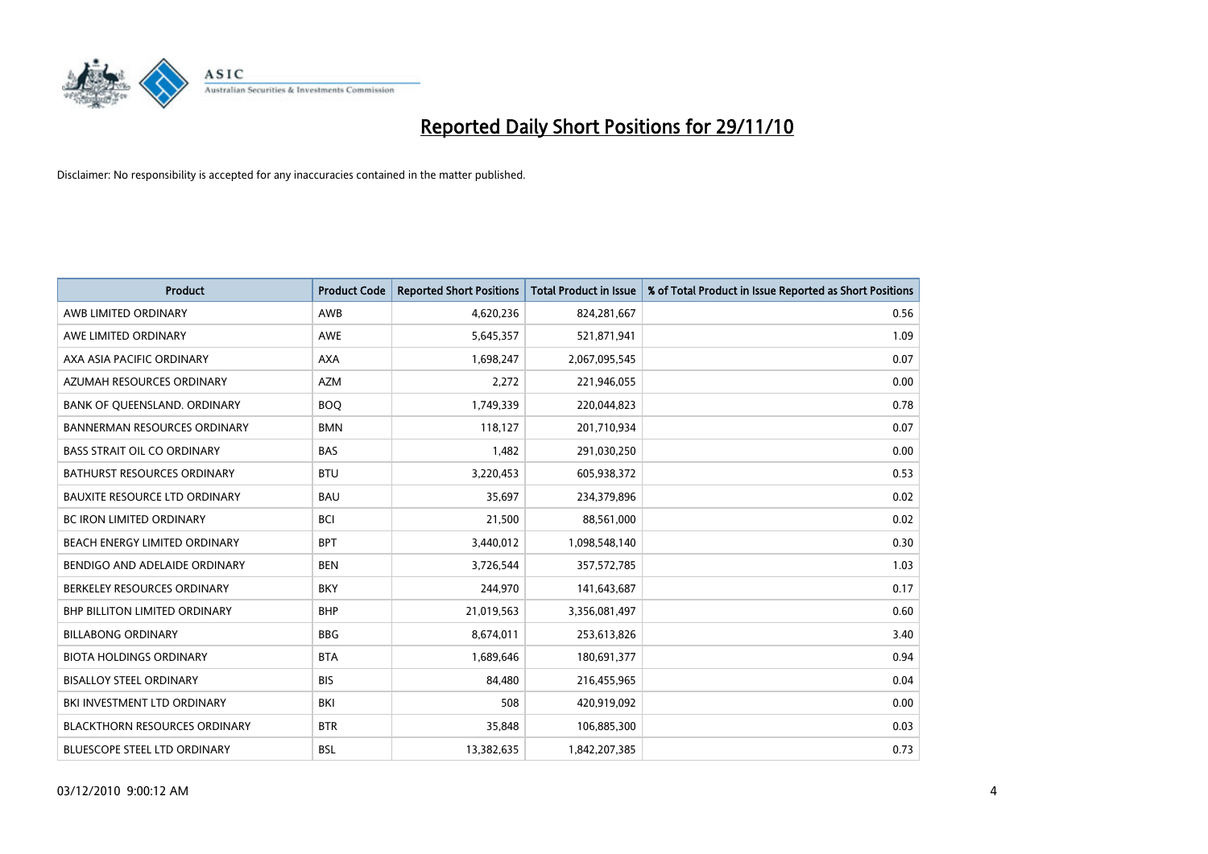

| <b>Product</b>                       | <b>Product Code</b> | <b>Reported Short Positions</b> | Total Product in Issue | % of Total Product in Issue Reported as Short Positions |
|--------------------------------------|---------------------|---------------------------------|------------------------|---------------------------------------------------------|
| AWB LIMITED ORDINARY                 | AWB                 | 4,620,236                       | 824,281,667            | 0.56                                                    |
| AWE LIMITED ORDINARY                 | <b>AWE</b>          | 5,645,357                       | 521,871,941            | 1.09                                                    |
| AXA ASIA PACIFIC ORDINARY            | <b>AXA</b>          | 1,698,247                       | 2,067,095,545          | 0.07                                                    |
| AZUMAH RESOURCES ORDINARY            | <b>AZM</b>          | 2,272                           | 221,946,055            | 0.00                                                    |
| BANK OF QUEENSLAND. ORDINARY         | <b>BOQ</b>          | 1,749,339                       | 220,044,823            | 0.78                                                    |
| <b>BANNERMAN RESOURCES ORDINARY</b>  | <b>BMN</b>          | 118,127                         | 201,710,934            | 0.07                                                    |
| <b>BASS STRAIT OIL CO ORDINARY</b>   | <b>BAS</b>          | 1,482                           | 291,030,250            | 0.00                                                    |
| BATHURST RESOURCES ORDINARY          | <b>BTU</b>          | 3,220,453                       | 605,938,372            | 0.53                                                    |
| BAUXITE RESOURCE LTD ORDINARY        | <b>BAU</b>          | 35,697                          | 234,379,896            | 0.02                                                    |
| <b>BC IRON LIMITED ORDINARY</b>      | <b>BCI</b>          | 21,500                          | 88,561,000             | 0.02                                                    |
| BEACH ENERGY LIMITED ORDINARY        | <b>BPT</b>          | 3,440,012                       | 1,098,548,140          | 0.30                                                    |
| BENDIGO AND ADELAIDE ORDINARY        | <b>BEN</b>          | 3,726,544                       | 357,572,785            | 1.03                                                    |
| BERKELEY RESOURCES ORDINARY          | <b>BKY</b>          | 244,970                         | 141,643,687            | 0.17                                                    |
| <b>BHP BILLITON LIMITED ORDINARY</b> | <b>BHP</b>          | 21,019,563                      | 3,356,081,497          | 0.60                                                    |
| <b>BILLABONG ORDINARY</b>            | <b>BBG</b>          | 8,674,011                       | 253,613,826            | 3.40                                                    |
| <b>BIOTA HOLDINGS ORDINARY</b>       | <b>BTA</b>          | 1,689,646                       | 180,691,377            | 0.94                                                    |
| <b>BISALLOY STEEL ORDINARY</b>       | <b>BIS</b>          | 84,480                          | 216,455,965            | 0.04                                                    |
| <b>BKI INVESTMENT LTD ORDINARY</b>   | <b>BKI</b>          | 508                             | 420,919,092            | 0.00                                                    |
| <b>BLACKTHORN RESOURCES ORDINARY</b> | <b>BTR</b>          | 35,848                          | 106,885,300            | 0.03                                                    |
| <b>BLUESCOPE STEEL LTD ORDINARY</b>  | <b>BSL</b>          | 13,382,635                      | 1,842,207,385          | 0.73                                                    |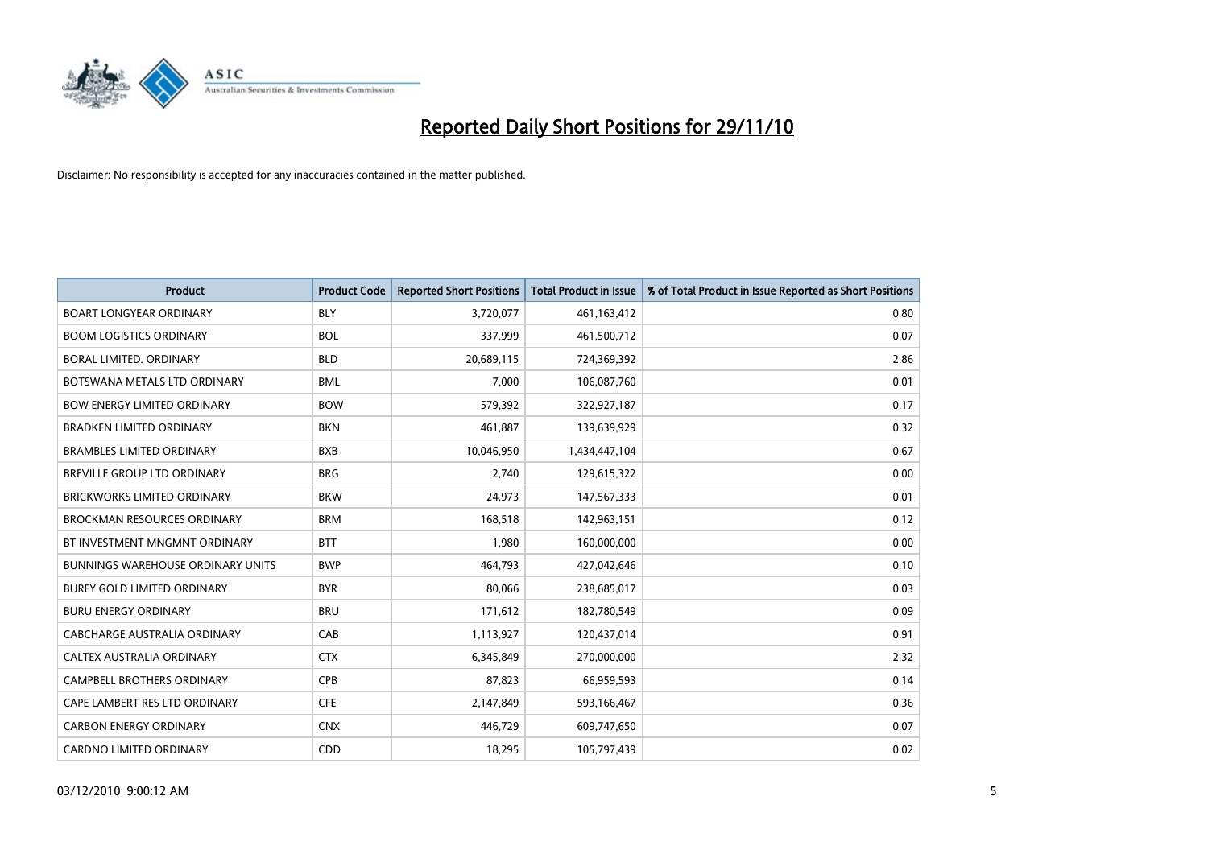

| <b>Product</b>                           | <b>Product Code</b> | <b>Reported Short Positions</b> | <b>Total Product in Issue</b> | % of Total Product in Issue Reported as Short Positions |
|------------------------------------------|---------------------|---------------------------------|-------------------------------|---------------------------------------------------------|
| <b>BOART LONGYEAR ORDINARY</b>           | <b>BLY</b>          | 3,720,077                       | 461,163,412                   | 0.80                                                    |
| <b>BOOM LOGISTICS ORDINARY</b>           | <b>BOL</b>          | 337,999                         | 461,500,712                   | 0.07                                                    |
| <b>BORAL LIMITED, ORDINARY</b>           | <b>BLD</b>          | 20,689,115                      | 724,369,392                   | 2.86                                                    |
| BOTSWANA METALS LTD ORDINARY             | <b>BML</b>          | 7,000                           | 106,087,760                   | 0.01                                                    |
| <b>BOW ENERGY LIMITED ORDINARY</b>       | <b>BOW</b>          | 579,392                         | 322,927,187                   | 0.17                                                    |
| <b>BRADKEN LIMITED ORDINARY</b>          | <b>BKN</b>          | 461,887                         | 139,639,929                   | 0.32                                                    |
| <b>BRAMBLES LIMITED ORDINARY</b>         | <b>BXB</b>          | 10,046,950                      | 1,434,447,104                 | 0.67                                                    |
| <b>BREVILLE GROUP LTD ORDINARY</b>       | <b>BRG</b>          | 2,740                           | 129,615,322                   | 0.00                                                    |
| <b>BRICKWORKS LIMITED ORDINARY</b>       | <b>BKW</b>          | 24,973                          | 147,567,333                   | 0.01                                                    |
| <b>BROCKMAN RESOURCES ORDINARY</b>       | <b>BRM</b>          | 168,518                         | 142,963,151                   | 0.12                                                    |
| BT INVESTMENT MNGMNT ORDINARY            | <b>BTT</b>          | 1,980                           | 160,000,000                   | 0.00                                                    |
| <b>BUNNINGS WAREHOUSE ORDINARY UNITS</b> | <b>BWP</b>          | 464,793                         | 427,042,646                   | 0.10                                                    |
| <b>BUREY GOLD LIMITED ORDINARY</b>       | <b>BYR</b>          | 80.066                          | 238,685,017                   | 0.03                                                    |
| <b>BURU ENERGY ORDINARY</b>              | <b>BRU</b>          | 171,612                         | 182,780,549                   | 0.09                                                    |
| CABCHARGE AUSTRALIA ORDINARY             | CAB                 | 1,113,927                       | 120,437,014                   | 0.91                                                    |
| CALTEX AUSTRALIA ORDINARY                | <b>CTX</b>          | 6,345,849                       | 270,000,000                   | 2.32                                                    |
| <b>CAMPBELL BROTHERS ORDINARY</b>        | CPB                 | 87,823                          | 66,959,593                    | 0.14                                                    |
| CAPE LAMBERT RES LTD ORDINARY            | <b>CFE</b>          | 2,147,849                       | 593,166,467                   | 0.36                                                    |
| <b>CARBON ENERGY ORDINARY</b>            | <b>CNX</b>          | 446,729                         | 609,747,650                   | 0.07                                                    |
| <b>CARDNO LIMITED ORDINARY</b>           | CDD                 | 18,295                          | 105,797,439                   | 0.02                                                    |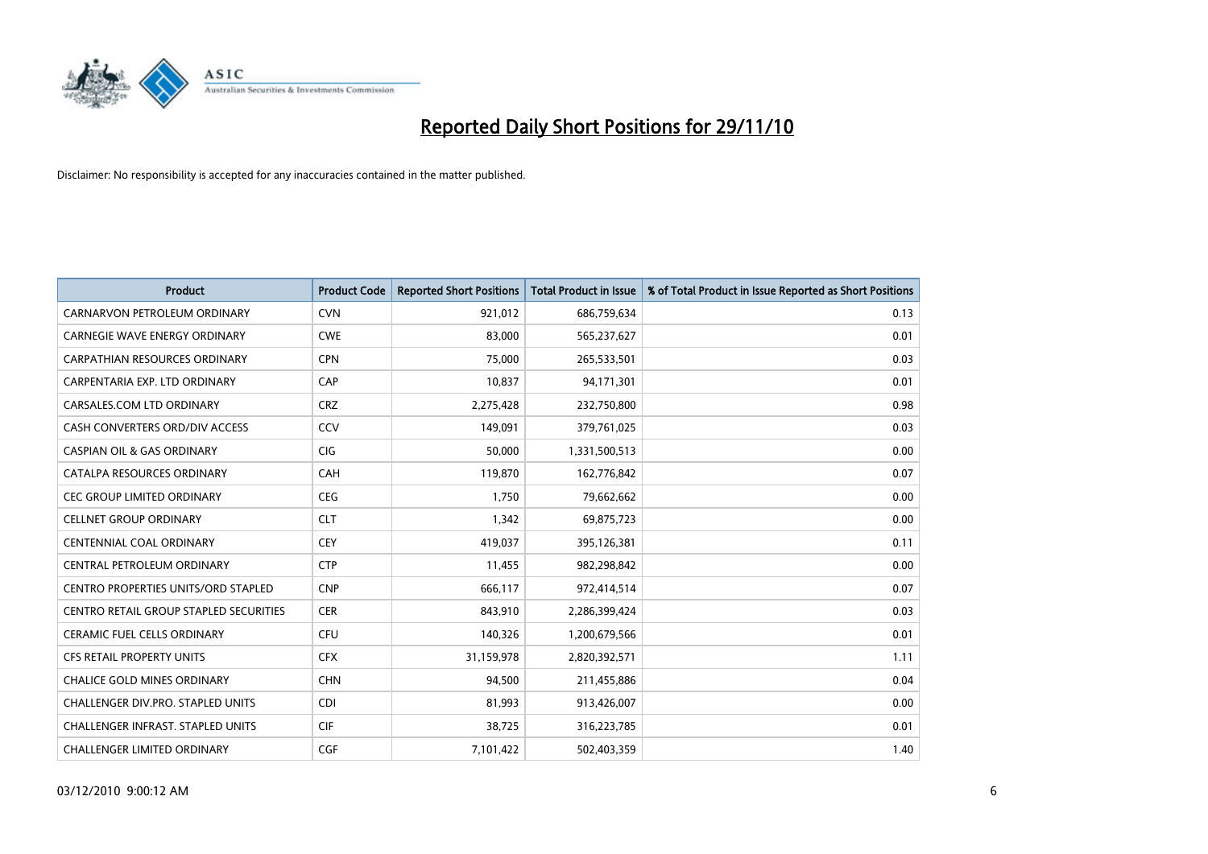

| <b>Product</b>                                | <b>Product Code</b> | <b>Reported Short Positions</b> | <b>Total Product in Issue</b> | % of Total Product in Issue Reported as Short Positions |
|-----------------------------------------------|---------------------|---------------------------------|-------------------------------|---------------------------------------------------------|
| CARNARVON PETROLEUM ORDINARY                  | <b>CVN</b>          | 921,012                         | 686,759,634                   | 0.13                                                    |
| CARNEGIE WAVE ENERGY ORDINARY                 | <b>CWE</b>          | 83,000                          | 565,237,627                   | 0.01                                                    |
| <b>CARPATHIAN RESOURCES ORDINARY</b>          | <b>CPN</b>          | 75,000                          | 265,533,501                   | 0.03                                                    |
| CARPENTARIA EXP. LTD ORDINARY                 | CAP                 | 10,837                          | 94,171,301                    | 0.01                                                    |
| CARSALES.COM LTD ORDINARY                     | <b>CRZ</b>          | 2,275,428                       | 232,750,800                   | 0.98                                                    |
| CASH CONVERTERS ORD/DIV ACCESS                | CCV                 | 149,091                         | 379,761,025                   | 0.03                                                    |
| <b>CASPIAN OIL &amp; GAS ORDINARY</b>         | <b>CIG</b>          | 50,000                          | 1,331,500,513                 | 0.00                                                    |
| CATALPA RESOURCES ORDINARY                    | CAH                 | 119,870                         | 162,776,842                   | 0.07                                                    |
| CEC GROUP LIMITED ORDINARY                    | <b>CEG</b>          | 1,750                           | 79,662,662                    | 0.00                                                    |
| <b>CELLNET GROUP ORDINARY</b>                 | <b>CLT</b>          | 1,342                           | 69,875,723                    | 0.00                                                    |
| CENTENNIAL COAL ORDINARY                      | <b>CEY</b>          | 419,037                         | 395,126,381                   | 0.11                                                    |
| CENTRAL PETROLEUM ORDINARY                    | <b>CTP</b>          | 11,455                          | 982,298,842                   | 0.00                                                    |
| <b>CENTRO PROPERTIES UNITS/ORD STAPLED</b>    | <b>CNP</b>          | 666,117                         | 972,414,514                   | 0.07                                                    |
| <b>CENTRO RETAIL GROUP STAPLED SECURITIES</b> | <b>CER</b>          | 843,910                         | 2,286,399,424                 | 0.03                                                    |
| <b>CERAMIC FUEL CELLS ORDINARY</b>            | CFU                 | 140,326                         | 1,200,679,566                 | 0.01                                                    |
| CFS RETAIL PROPERTY UNITS                     | <b>CFX</b>          | 31,159,978                      | 2,820,392,571                 | 1.11                                                    |
| <b>CHALICE GOLD MINES ORDINARY</b>            | <b>CHN</b>          | 94,500                          | 211,455,886                   | 0.04                                                    |
| CHALLENGER DIV.PRO. STAPLED UNITS             | <b>CDI</b>          | 81,993                          | 913,426,007                   | 0.00                                                    |
| <b>CHALLENGER INFRAST, STAPLED UNITS</b>      | <b>CIF</b>          | 38,725                          | 316,223,785                   | 0.01                                                    |
| <b>CHALLENGER LIMITED ORDINARY</b>            | CGF                 | 7,101,422                       | 502,403,359                   | 1.40                                                    |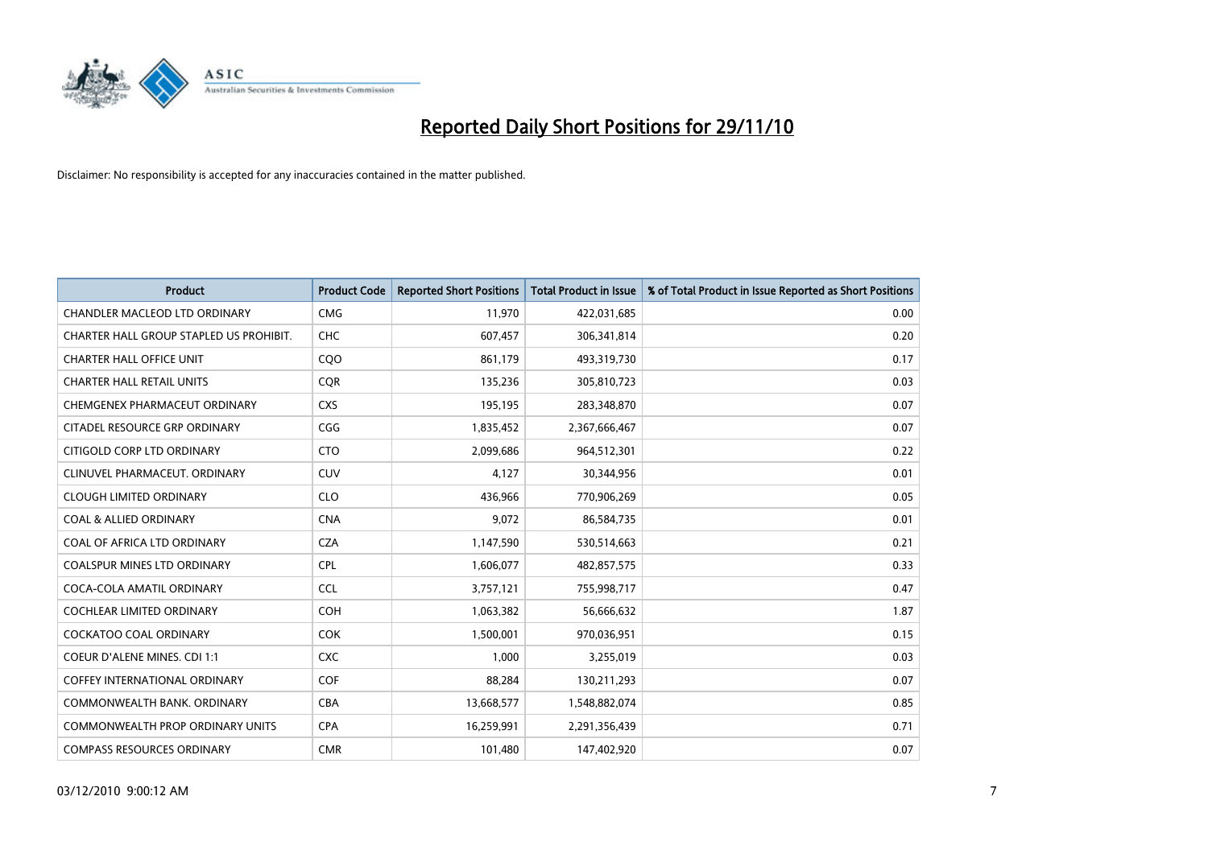

| <b>Product</b>                          | <b>Product Code</b> | <b>Reported Short Positions</b> | <b>Total Product in Issue</b> | % of Total Product in Issue Reported as Short Positions |
|-----------------------------------------|---------------------|---------------------------------|-------------------------------|---------------------------------------------------------|
| <b>CHANDLER MACLEOD LTD ORDINARY</b>    | <b>CMG</b>          | 11,970                          | 422,031,685                   | 0.00                                                    |
| CHARTER HALL GROUP STAPLED US PROHIBIT. | <b>CHC</b>          | 607,457                         | 306,341,814                   | 0.20                                                    |
| <b>CHARTER HALL OFFICE UNIT</b>         | C <sub>O</sub> O    | 861,179                         | 493,319,730                   | 0.17                                                    |
| <b>CHARTER HALL RETAIL UNITS</b>        | <b>CQR</b>          | 135,236                         | 305,810,723                   | 0.03                                                    |
| CHEMGENEX PHARMACEUT ORDINARY           | <b>CXS</b>          | 195,195                         | 283,348,870                   | 0.07                                                    |
| CITADEL RESOURCE GRP ORDINARY           | CGG                 | 1,835,452                       | 2,367,666,467                 | 0.07                                                    |
| CITIGOLD CORP LTD ORDINARY              | <b>CTO</b>          | 2,099,686                       | 964,512,301                   | 0.22                                                    |
| CLINUVEL PHARMACEUT, ORDINARY           | <b>CUV</b>          | 4,127                           | 30,344,956                    | 0.01                                                    |
| <b>CLOUGH LIMITED ORDINARY</b>          | <b>CLO</b>          | 436,966                         | 770,906,269                   | 0.05                                                    |
| <b>COAL &amp; ALLIED ORDINARY</b>       | <b>CNA</b>          | 9,072                           | 86,584,735                    | 0.01                                                    |
| COAL OF AFRICA LTD ORDINARY             | <b>CZA</b>          | 1,147,590                       | 530,514,663                   | 0.21                                                    |
| <b>COALSPUR MINES LTD ORDINARY</b>      | <b>CPL</b>          | 1,606,077                       | 482,857,575                   | 0.33                                                    |
| COCA-COLA AMATIL ORDINARY               | <b>CCL</b>          | 3,757,121                       | 755,998,717                   | 0.47                                                    |
| COCHLEAR LIMITED ORDINARY               | COH                 | 1,063,382                       | 56,666,632                    | 1.87                                                    |
| <b>COCKATOO COAL ORDINARY</b>           | <b>COK</b>          | 1,500,001                       | 970,036,951                   | 0.15                                                    |
| <b>COEUR D'ALENE MINES. CDI 1:1</b>     | <b>CXC</b>          | 1,000                           | 3,255,019                     | 0.03                                                    |
| COFFEY INTERNATIONAL ORDINARY           | <b>COF</b>          | 88,284                          | 130,211,293                   | 0.07                                                    |
| COMMONWEALTH BANK, ORDINARY             | <b>CBA</b>          | 13,668,577                      | 1,548,882,074                 | 0.85                                                    |
| <b>COMMONWEALTH PROP ORDINARY UNITS</b> | <b>CPA</b>          | 16,259,991                      | 2,291,356,439                 | 0.71                                                    |
| <b>COMPASS RESOURCES ORDINARY</b>       | <b>CMR</b>          | 101,480                         | 147,402,920                   | 0.07                                                    |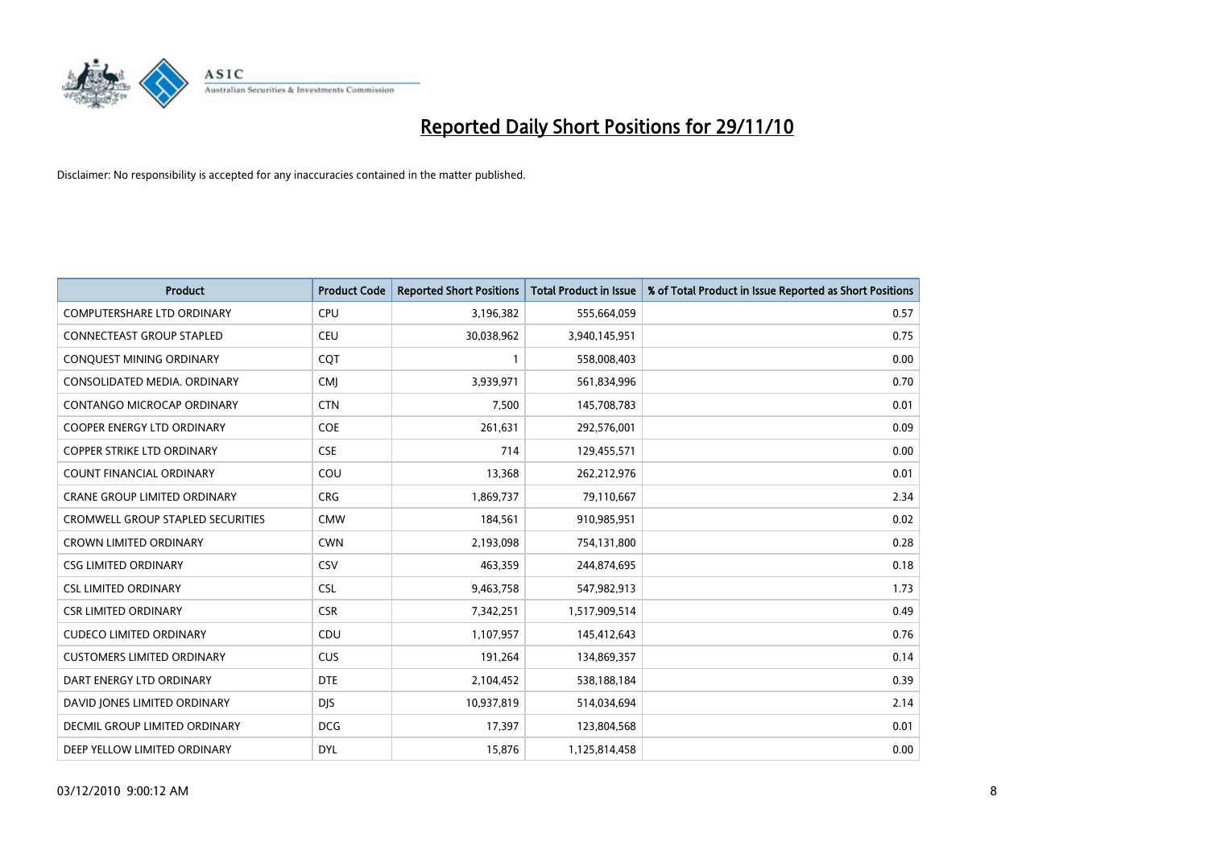

| <b>Product</b>                           | <b>Product Code</b> | <b>Reported Short Positions</b> | <b>Total Product in Issue</b> | % of Total Product in Issue Reported as Short Positions |
|------------------------------------------|---------------------|---------------------------------|-------------------------------|---------------------------------------------------------|
| <b>COMPUTERSHARE LTD ORDINARY</b>        | <b>CPU</b>          | 3,196,382                       | 555,664,059                   | 0.57                                                    |
| <b>CONNECTEAST GROUP STAPLED</b>         | <b>CEU</b>          | 30,038,962                      | 3,940,145,951                 | 0.75                                                    |
| CONQUEST MINING ORDINARY                 | CQT                 |                                 | 558,008,403                   | 0.00                                                    |
| CONSOLIDATED MEDIA. ORDINARY             | <b>CMI</b>          | 3,939,971                       | 561,834,996                   | 0.70                                                    |
| <b>CONTANGO MICROCAP ORDINARY</b>        | <b>CTN</b>          | 7,500                           | 145,708,783                   | 0.01                                                    |
| <b>COOPER ENERGY LTD ORDINARY</b>        | COE                 | 261,631                         | 292,576,001                   | 0.09                                                    |
| <b>COPPER STRIKE LTD ORDINARY</b>        | <b>CSE</b>          | 714                             | 129,455,571                   | 0.00                                                    |
| <b>COUNT FINANCIAL ORDINARY</b>          | COU                 | 13,368                          | 262,212,976                   | 0.01                                                    |
| CRANE GROUP LIMITED ORDINARY             | <b>CRG</b>          | 1,869,737                       | 79,110,667                    | 2.34                                                    |
| <b>CROMWELL GROUP STAPLED SECURITIES</b> | <b>CMW</b>          | 184,561                         | 910,985,951                   | 0.02                                                    |
| <b>CROWN LIMITED ORDINARY</b>            | <b>CWN</b>          | 2,193,098                       | 754,131,800                   | 0.28                                                    |
| <b>CSG LIMITED ORDINARY</b>              | CSV                 | 463,359                         | 244,874,695                   | 0.18                                                    |
| <b>CSL LIMITED ORDINARY</b>              | CSL                 | 9,463,758                       | 547,982,913                   | 1.73                                                    |
| <b>CSR LIMITED ORDINARY</b>              | <b>CSR</b>          | 7,342,251                       | 1,517,909,514                 | 0.49                                                    |
| <b>CUDECO LIMITED ORDINARY</b>           | CDU                 | 1,107,957                       | 145,412,643                   | 0.76                                                    |
| <b>CUSTOMERS LIMITED ORDINARY</b>        | <b>CUS</b>          | 191,264                         | 134,869,357                   | 0.14                                                    |
| DART ENERGY LTD ORDINARY                 | <b>DTE</b>          | 2,104,452                       | 538,188,184                   | 0.39                                                    |
| DAVID JONES LIMITED ORDINARY             | <b>DJS</b>          | 10,937,819                      | 514,034,694                   | 2.14                                                    |
| DECMIL GROUP LIMITED ORDINARY            | <b>DCG</b>          | 17,397                          | 123,804,568                   | 0.01                                                    |
| DEEP YELLOW LIMITED ORDINARY             | <b>DYL</b>          | 15,876                          | 1,125,814,458                 | 0.00                                                    |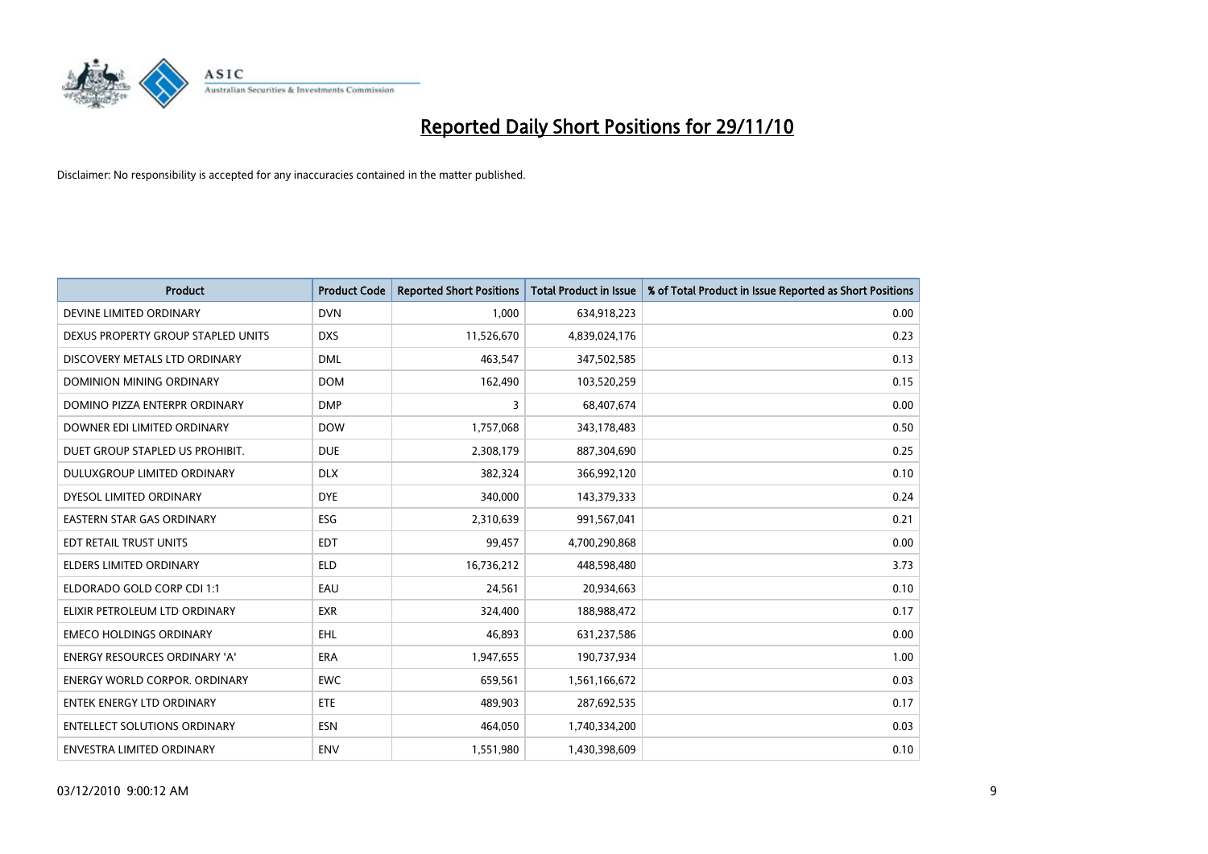

| <b>Product</b>                       | <b>Product Code</b> | <b>Reported Short Positions</b> | <b>Total Product in Issue</b> | % of Total Product in Issue Reported as Short Positions |
|--------------------------------------|---------------------|---------------------------------|-------------------------------|---------------------------------------------------------|
| DEVINE LIMITED ORDINARY              | <b>DVN</b>          | 1,000                           | 634,918,223                   | 0.00                                                    |
| DEXUS PROPERTY GROUP STAPLED UNITS   | <b>DXS</b>          | 11,526,670                      | 4,839,024,176                 | 0.23                                                    |
| DISCOVERY METALS LTD ORDINARY        | <b>DML</b>          | 463,547                         | 347,502,585                   | 0.13                                                    |
| DOMINION MINING ORDINARY             | <b>DOM</b>          | 162,490                         | 103,520,259                   | 0.15                                                    |
| DOMINO PIZZA ENTERPR ORDINARY        | <b>DMP</b>          | 3                               | 68,407,674                    | 0.00                                                    |
| DOWNER EDI LIMITED ORDINARY          | <b>DOW</b>          | 1,757,068                       | 343,178,483                   | 0.50                                                    |
| DUET GROUP STAPLED US PROHIBIT.      | <b>DUE</b>          | 2,308,179                       | 887,304,690                   | 0.25                                                    |
| DULUXGROUP LIMITED ORDINARY          | <b>DLX</b>          | 382,324                         | 366,992,120                   | 0.10                                                    |
| DYESOL LIMITED ORDINARY              | <b>DYE</b>          | 340,000                         | 143,379,333                   | 0.24                                                    |
| <b>EASTERN STAR GAS ORDINARY</b>     | <b>ESG</b>          | 2,310,639                       | 991,567,041                   | 0.21                                                    |
| EDT RETAIL TRUST UNITS               | <b>EDT</b>          | 99,457                          | 4,700,290,868                 | 0.00                                                    |
| <b>ELDERS LIMITED ORDINARY</b>       | <b>ELD</b>          | 16,736,212                      | 448,598,480                   | 3.73                                                    |
| ELDORADO GOLD CORP CDI 1:1           | EAU                 | 24,561                          | 20,934,663                    | 0.10                                                    |
| ELIXIR PETROLEUM LTD ORDINARY        | <b>EXR</b>          | 324,400                         | 188,988,472                   | 0.17                                                    |
| <b>EMECO HOLDINGS ORDINARY</b>       | <b>EHL</b>          | 46,893                          | 631,237,586                   | 0.00                                                    |
| <b>ENERGY RESOURCES ORDINARY 'A'</b> | <b>ERA</b>          | 1,947,655                       | 190,737,934                   | 1.00                                                    |
| <b>ENERGY WORLD CORPOR, ORDINARY</b> | <b>EWC</b>          | 659,561                         | 1,561,166,672                 | 0.03                                                    |
| <b>ENTEK ENERGY LTD ORDINARY</b>     | <b>ETE</b>          | 489,903                         | 287,692,535                   | 0.17                                                    |
| <b>ENTELLECT SOLUTIONS ORDINARY</b>  | <b>ESN</b>          | 464,050                         | 1,740,334,200                 | 0.03                                                    |
| ENVESTRA LIMITED ORDINARY            | <b>ENV</b>          | 1,551,980                       | 1,430,398,609                 | 0.10                                                    |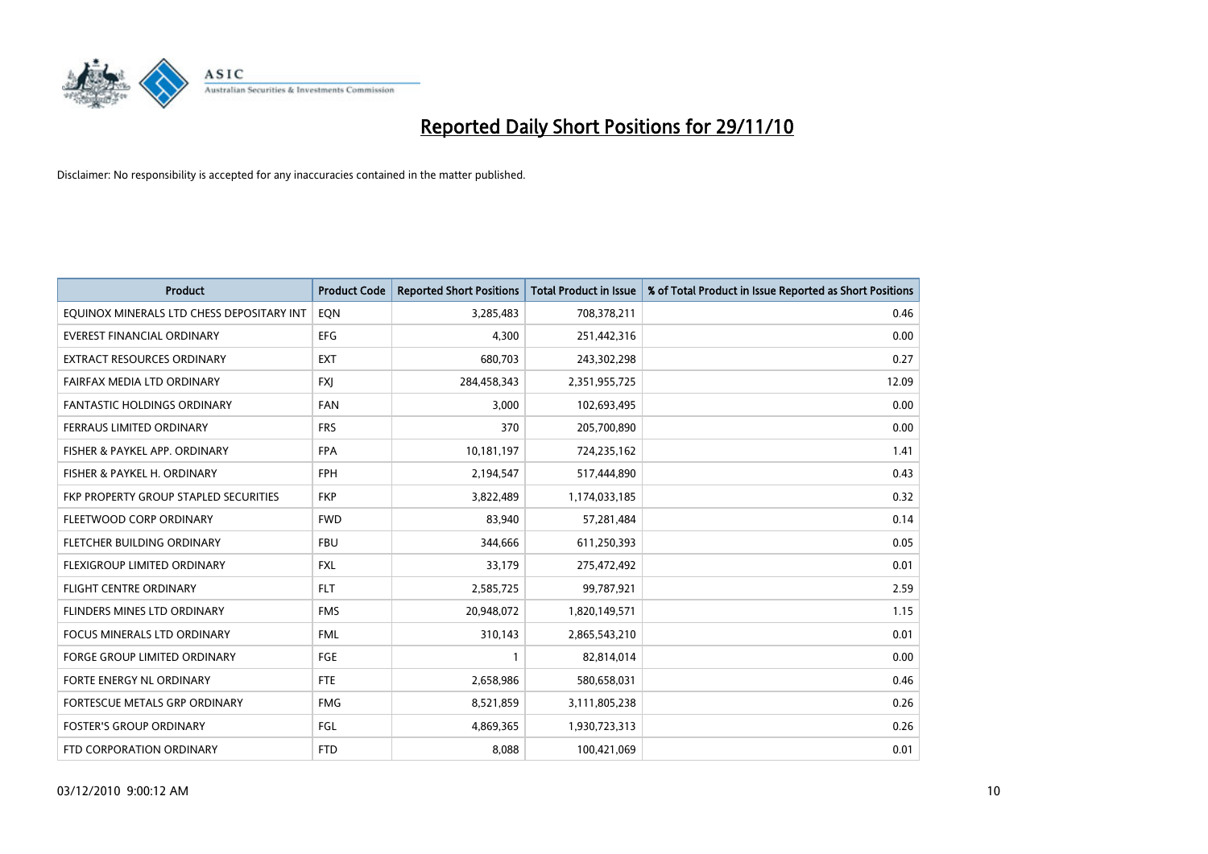

| <b>Product</b>                            | <b>Product Code</b> | <b>Reported Short Positions</b> | Total Product in Issue | % of Total Product in Issue Reported as Short Positions |
|-------------------------------------------|---------------------|---------------------------------|------------------------|---------------------------------------------------------|
| EQUINOX MINERALS LTD CHESS DEPOSITARY INT | EQN                 | 3,285,483                       | 708,378,211            | 0.46                                                    |
| EVEREST FINANCIAL ORDINARY                | <b>EFG</b>          | 4,300                           | 251,442,316            | 0.00                                                    |
| <b>EXTRACT RESOURCES ORDINARY</b>         | <b>EXT</b>          | 680,703                         | 243,302,298            | 0.27                                                    |
| FAIRFAX MEDIA LTD ORDINARY                | <b>FXJ</b>          | 284,458,343                     | 2,351,955,725          | 12.09                                                   |
| <b>FANTASTIC HOLDINGS ORDINARY</b>        | <b>FAN</b>          | 3,000                           | 102,693,495            | 0.00                                                    |
| FERRAUS LIMITED ORDINARY                  | <b>FRS</b>          | 370                             | 205,700,890            | 0.00                                                    |
| FISHER & PAYKEL APP. ORDINARY             | <b>FPA</b>          | 10,181,197                      | 724,235,162            | 1.41                                                    |
| FISHER & PAYKEL H. ORDINARY               | <b>FPH</b>          | 2,194,547                       | 517,444,890            | 0.43                                                    |
| FKP PROPERTY GROUP STAPLED SECURITIES     | <b>FKP</b>          | 3,822,489                       | 1,174,033,185          | 0.32                                                    |
| FLEETWOOD CORP ORDINARY                   | <b>FWD</b>          | 83,940                          | 57,281,484             | 0.14                                                    |
| FLETCHER BUILDING ORDINARY                | <b>FBU</b>          | 344,666                         | 611,250,393            | 0.05                                                    |
| FLEXIGROUP LIMITED ORDINARY               | <b>FXL</b>          | 33,179                          | 275,472,492            | 0.01                                                    |
| FLIGHT CENTRE ORDINARY                    | <b>FLT</b>          | 2,585,725                       | 99,787,921             | 2.59                                                    |
| FLINDERS MINES LTD ORDINARY               | <b>FMS</b>          | 20,948,072                      | 1,820,149,571          | 1.15                                                    |
| <b>FOCUS MINERALS LTD ORDINARY</b>        | <b>FML</b>          | 310,143                         | 2,865,543,210          | 0.01                                                    |
| <b>FORGE GROUP LIMITED ORDINARY</b>       | <b>FGE</b>          |                                 | 82,814,014             | 0.00                                                    |
| FORTE ENERGY NL ORDINARY                  | <b>FTE</b>          | 2,658,986                       | 580,658,031            | 0.46                                                    |
| FORTESCUE METALS GRP ORDINARY             | <b>FMG</b>          | 8,521,859                       | 3,111,805,238          | 0.26                                                    |
| <b>FOSTER'S GROUP ORDINARY</b>            | FGL                 | 4,869,365                       | 1,930,723,313          | 0.26                                                    |
| FTD CORPORATION ORDINARY                  | <b>FTD</b>          | 8,088                           | 100,421,069            | 0.01                                                    |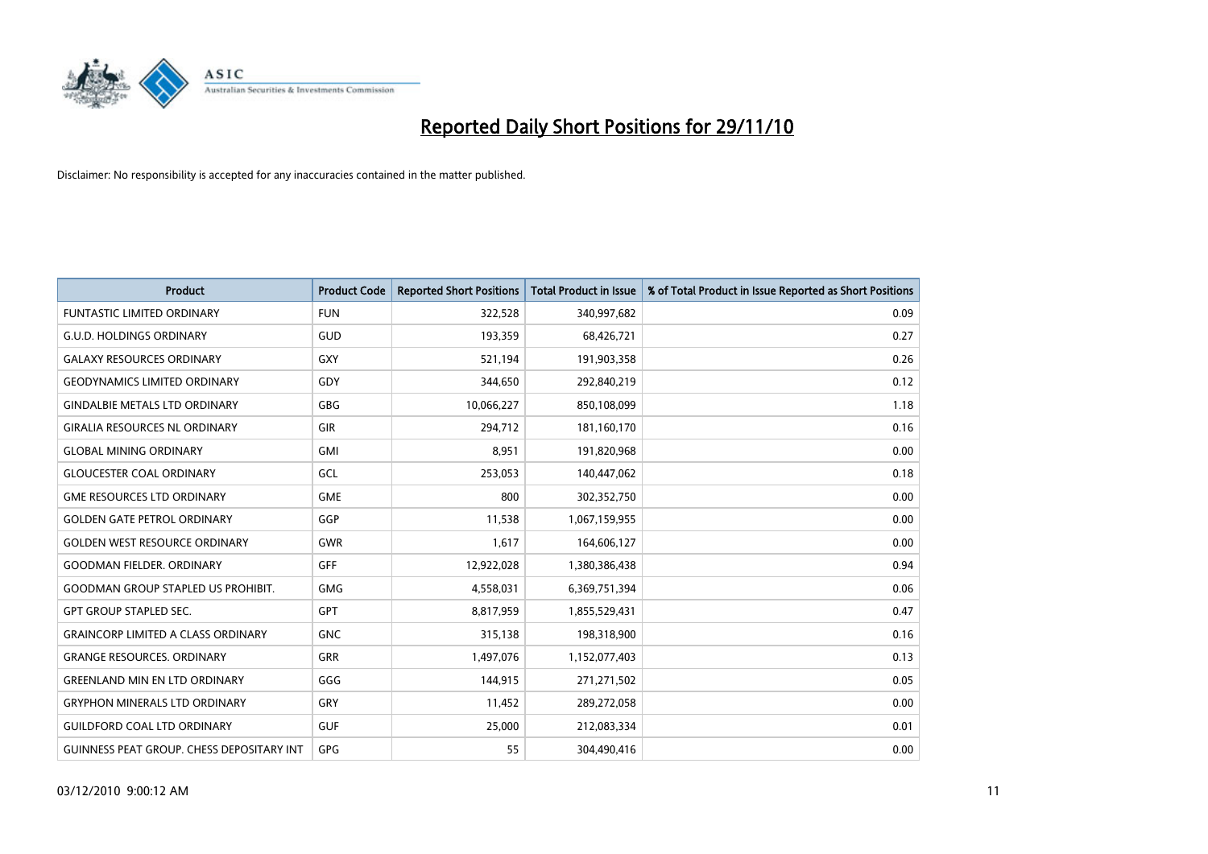

| <b>Product</b>                                   | <b>Product Code</b> | <b>Reported Short Positions</b> | <b>Total Product in Issue</b> | % of Total Product in Issue Reported as Short Positions |
|--------------------------------------------------|---------------------|---------------------------------|-------------------------------|---------------------------------------------------------|
| <b>FUNTASTIC LIMITED ORDINARY</b>                | <b>FUN</b>          | 322,528                         | 340,997,682                   | 0.09                                                    |
| <b>G.U.D. HOLDINGS ORDINARY</b>                  | GUD                 | 193,359                         | 68,426,721                    | 0.27                                                    |
| <b>GALAXY RESOURCES ORDINARY</b>                 | <b>GXY</b>          | 521,194                         | 191,903,358                   | 0.26                                                    |
| <b>GEODYNAMICS LIMITED ORDINARY</b>              | GDY                 | 344,650                         | 292,840,219                   | 0.12                                                    |
| <b>GINDALBIE METALS LTD ORDINARY</b>             | <b>GBG</b>          | 10,066,227                      | 850,108,099                   | 1.18                                                    |
| <b>GIRALIA RESOURCES NL ORDINARY</b>             | <b>GIR</b>          | 294,712                         | 181,160,170                   | 0.16                                                    |
| <b>GLOBAL MINING ORDINARY</b>                    | <b>GMI</b>          | 8.951                           | 191,820,968                   | 0.00                                                    |
| <b>GLOUCESTER COAL ORDINARY</b>                  | GCL                 | 253,053                         | 140,447,062                   | 0.18                                                    |
| <b>GME RESOURCES LTD ORDINARY</b>                | <b>GME</b>          | 800                             | 302,352,750                   | 0.00                                                    |
| <b>GOLDEN GATE PETROL ORDINARY</b>               | GGP                 | 11,538                          | 1,067,159,955                 | 0.00                                                    |
| <b>GOLDEN WEST RESOURCE ORDINARY</b>             | <b>GWR</b>          | 1,617                           | 164,606,127                   | 0.00                                                    |
| <b>GOODMAN FIELDER, ORDINARY</b>                 | <b>GFF</b>          | 12,922,028                      | 1,380,386,438                 | 0.94                                                    |
| <b>GOODMAN GROUP STAPLED US PROHIBIT.</b>        | <b>GMG</b>          | 4,558,031                       | 6,369,751,394                 | 0.06                                                    |
| <b>GPT GROUP STAPLED SEC.</b>                    | GPT                 | 8,817,959                       | 1,855,529,431                 | 0.47                                                    |
| <b>GRAINCORP LIMITED A CLASS ORDINARY</b>        | <b>GNC</b>          | 315,138                         | 198,318,900                   | 0.16                                                    |
| <b>GRANGE RESOURCES. ORDINARY</b>                | GRR                 | 1,497,076                       | 1,152,077,403                 | 0.13                                                    |
| <b>GREENLAND MIN EN LTD ORDINARY</b>             | GGG                 | 144,915                         | 271,271,502                   | 0.05                                                    |
| <b>GRYPHON MINERALS LTD ORDINARY</b>             | GRY                 | 11,452                          | 289,272,058                   | 0.00                                                    |
| <b>GUILDFORD COAL LTD ORDINARY</b>               | <b>GUF</b>          | 25,000                          | 212,083,334                   | 0.01                                                    |
| <b>GUINNESS PEAT GROUP. CHESS DEPOSITARY INT</b> | GPG                 | 55                              | 304,490,416                   | 0.00                                                    |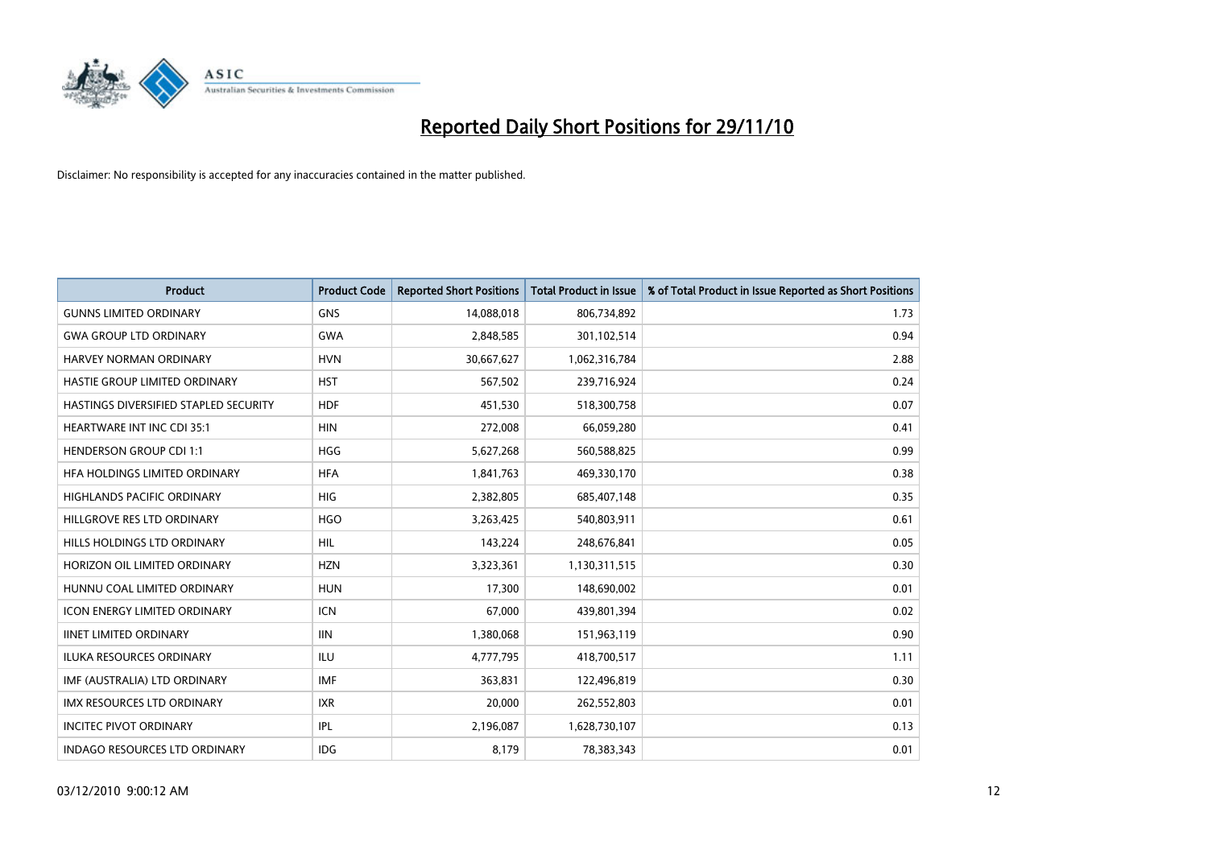

| <b>Product</b>                        | <b>Product Code</b> | <b>Reported Short Positions</b> | <b>Total Product in Issue</b> | % of Total Product in Issue Reported as Short Positions |
|---------------------------------------|---------------------|---------------------------------|-------------------------------|---------------------------------------------------------|
| <b>GUNNS LIMITED ORDINARY</b>         | <b>GNS</b>          | 14,088,018                      | 806,734,892                   | 1.73                                                    |
| <b>GWA GROUP LTD ORDINARY</b>         | <b>GWA</b>          | 2,848,585                       | 301,102,514                   | 0.94                                                    |
| <b>HARVEY NORMAN ORDINARY</b>         | <b>HVN</b>          | 30,667,627                      | 1,062,316,784                 | 2.88                                                    |
| HASTIE GROUP LIMITED ORDINARY         | <b>HST</b>          | 567,502                         | 239,716,924                   | 0.24                                                    |
| HASTINGS DIVERSIFIED STAPLED SECURITY | <b>HDF</b>          | 451,530                         | 518,300,758                   | 0.07                                                    |
| <b>HEARTWARE INT INC CDI 35:1</b>     | <b>HIN</b>          | 272,008                         | 66,059,280                    | 0.41                                                    |
| <b>HENDERSON GROUP CDI 1:1</b>        | <b>HGG</b>          | 5,627,268                       | 560,588,825                   | 0.99                                                    |
| HFA HOLDINGS LIMITED ORDINARY         | <b>HFA</b>          | 1,841,763                       | 469,330,170                   | 0.38                                                    |
| HIGHLANDS PACIFIC ORDINARY            | <b>HIG</b>          | 2,382,805                       | 685,407,148                   | 0.35                                                    |
| HILLGROVE RES LTD ORDINARY            | <b>HGO</b>          | 3,263,425                       | 540,803,911                   | 0.61                                                    |
| HILLS HOLDINGS LTD ORDINARY           | <b>HIL</b>          | 143,224                         | 248,676,841                   | 0.05                                                    |
| HORIZON OIL LIMITED ORDINARY          | <b>HZN</b>          | 3,323,361                       | 1,130,311,515                 | 0.30                                                    |
| HUNNU COAL LIMITED ORDINARY           | <b>HUN</b>          | 17.300                          | 148,690,002                   | 0.01                                                    |
| <b>ICON ENERGY LIMITED ORDINARY</b>   | <b>ICN</b>          | 67,000                          | 439,801,394                   | 0.02                                                    |
| <b>IINET LIMITED ORDINARY</b>         | <b>IIN</b>          | 1,380,068                       | 151,963,119                   | 0.90                                                    |
| ILUKA RESOURCES ORDINARY              | ILU                 | 4,777,795                       | 418,700,517                   | 1.11                                                    |
| IMF (AUSTRALIA) LTD ORDINARY          | <b>IMF</b>          | 363,831                         | 122,496,819                   | 0.30                                                    |
| IMX RESOURCES LTD ORDINARY            | <b>IXR</b>          | 20,000                          | 262,552,803                   | 0.01                                                    |
| <b>INCITEC PIVOT ORDINARY</b>         | <b>IPL</b>          | 2,196,087                       | 1,628,730,107                 | 0.13                                                    |
| <b>INDAGO RESOURCES LTD ORDINARY</b>  | <b>IDG</b>          | 8.179                           | 78,383,343                    | 0.01                                                    |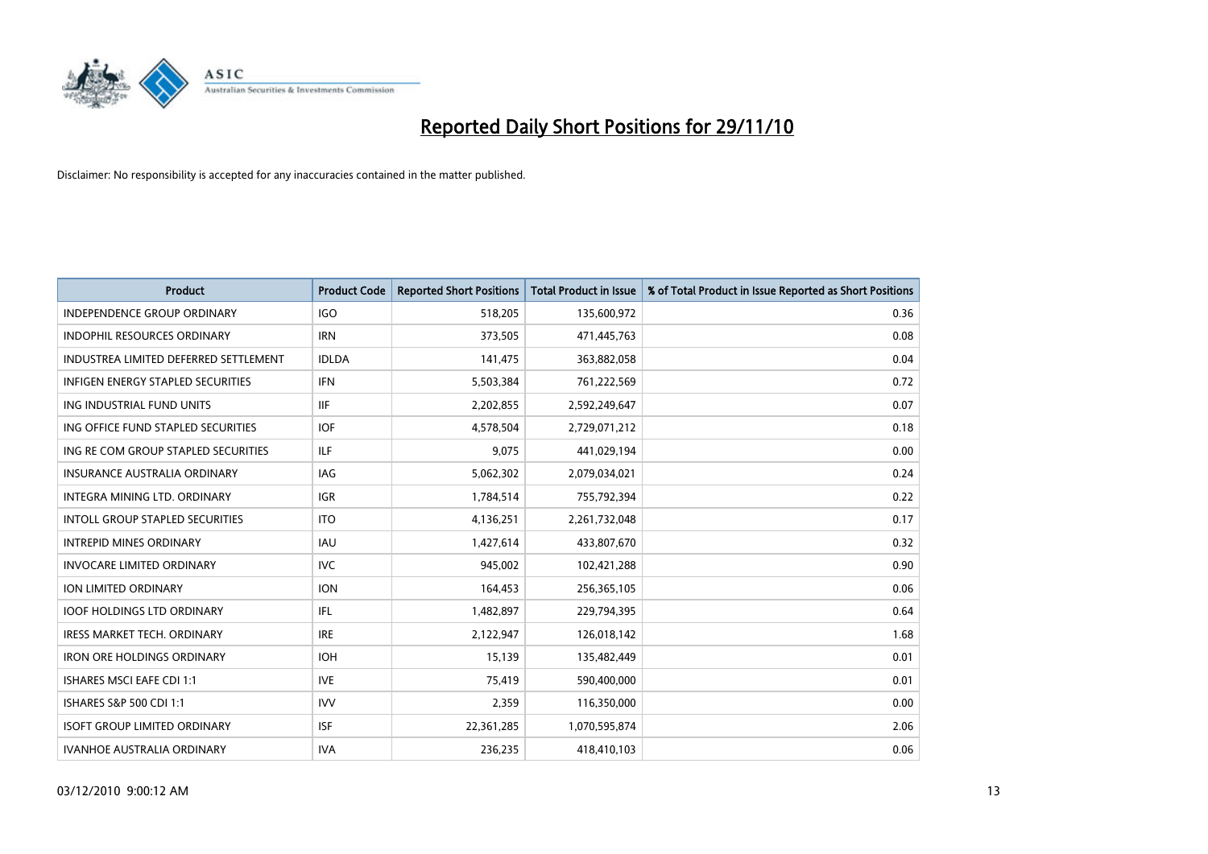

| <b>Product</b>                         | <b>Product Code</b> | <b>Reported Short Positions</b> | Total Product in Issue | % of Total Product in Issue Reported as Short Positions |
|----------------------------------------|---------------------|---------------------------------|------------------------|---------------------------------------------------------|
| <b>INDEPENDENCE GROUP ORDINARY</b>     | <b>IGO</b>          | 518,205                         | 135,600,972            | 0.36                                                    |
| <b>INDOPHIL RESOURCES ORDINARY</b>     | <b>IRN</b>          | 373,505                         | 471,445,763            | 0.08                                                    |
| INDUSTREA LIMITED DEFERRED SETTLEMENT  | <b>IDLDA</b>        | 141,475                         | 363,882,058            | 0.04                                                    |
| INFIGEN ENERGY STAPLED SECURITIES      | <b>IFN</b>          | 5,503,384                       | 761,222,569            | 0.72                                                    |
| ING INDUSTRIAL FUND UNITS              | <b>IIF</b>          | 2,202,855                       | 2,592,249,647          | 0.07                                                    |
| ING OFFICE FUND STAPLED SECURITIES     | <b>IOF</b>          | 4,578,504                       | 2,729,071,212          | 0.18                                                    |
| ING RE COM GROUP STAPLED SECURITIES    | <b>ILF</b>          | 9.075                           | 441,029,194            | 0.00                                                    |
| <b>INSURANCE AUSTRALIA ORDINARY</b>    | <b>IAG</b>          | 5,062,302                       | 2,079,034,021          | 0.24                                                    |
| INTEGRA MINING LTD. ORDINARY           | <b>IGR</b>          | 1,784,514                       | 755,792,394            | 0.22                                                    |
| <b>INTOLL GROUP STAPLED SECURITIES</b> | <b>ITO</b>          | 4,136,251                       | 2,261,732,048          | 0.17                                                    |
| <b>INTREPID MINES ORDINARY</b>         | <b>IAU</b>          | 1,427,614                       | 433,807,670            | 0.32                                                    |
| <b>INVOCARE LIMITED ORDINARY</b>       | <b>IVC</b>          | 945,002                         | 102,421,288            | 0.90                                                    |
| <b>ION LIMITED ORDINARY</b>            | <b>ION</b>          | 164,453                         | 256,365,105            | 0.06                                                    |
| <b>IOOF HOLDINGS LTD ORDINARY</b>      | <b>IFL</b>          | 1,482,897                       | 229,794,395            | 0.64                                                    |
| IRESS MARKET TECH. ORDINARY            | <b>IRE</b>          | 2,122,947                       | 126,018,142            | 1.68                                                    |
| <b>IRON ORE HOLDINGS ORDINARY</b>      | <b>IOH</b>          | 15,139                          | 135,482,449            | 0.01                                                    |
| <b>ISHARES MSCI EAFE CDI 1:1</b>       | <b>IVE</b>          | 75,419                          | 590,400,000            | 0.01                                                    |
| ISHARES S&P 500 CDI 1:1                | <b>IVV</b>          | 2,359                           | 116,350,000            | 0.00                                                    |
| <b>ISOFT GROUP LIMITED ORDINARY</b>    | <b>ISF</b>          | 22,361,285                      | 1,070,595,874          | 2.06                                                    |
| <b>IVANHOE AUSTRALIA ORDINARY</b>      | <b>IVA</b>          | 236.235                         | 418,410,103            | 0.06                                                    |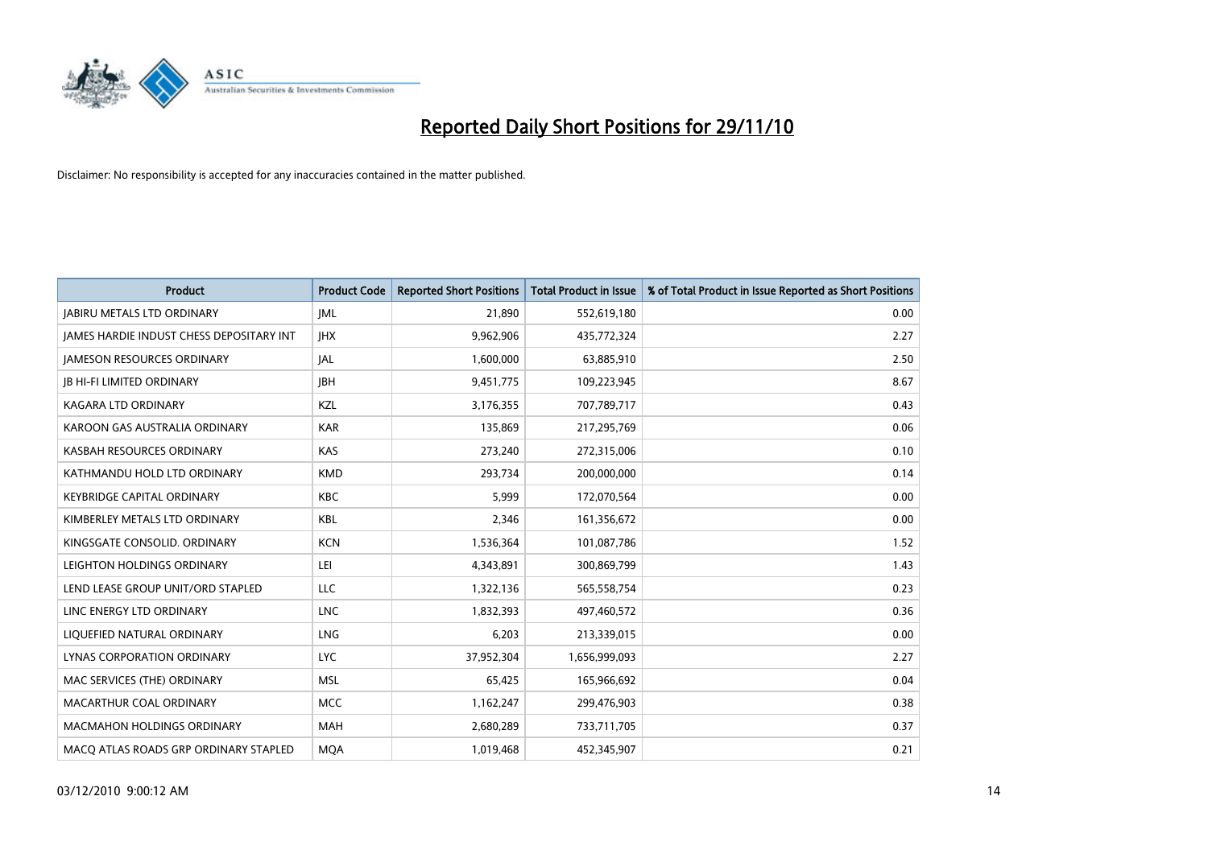

| <b>Product</b>                                  | <b>Product Code</b> | <b>Reported Short Positions</b> | Total Product in Issue | % of Total Product in Issue Reported as Short Positions |
|-------------------------------------------------|---------------------|---------------------------------|------------------------|---------------------------------------------------------|
| <b>JABIRU METALS LTD ORDINARY</b>               | <b>JML</b>          | 21,890                          | 552,619,180            | 0.00                                                    |
| <b>JAMES HARDIE INDUST CHESS DEPOSITARY INT</b> | <b>IHX</b>          | 9,962,906                       | 435,772,324            | 2.27                                                    |
| <b>JAMESON RESOURCES ORDINARY</b>               | JAL                 | 1,600,000                       | 63,885,910             | 2.50                                                    |
| <b>JB HI-FI LIMITED ORDINARY</b>                | <b>IBH</b>          | 9,451,775                       | 109,223,945            | 8.67                                                    |
| <b>KAGARA LTD ORDINARY</b>                      | KZL                 | 3,176,355                       | 707,789,717            | 0.43                                                    |
| KAROON GAS AUSTRALIA ORDINARY                   | <b>KAR</b>          | 135,869                         | 217,295,769            | 0.06                                                    |
| KASBAH RESOURCES ORDINARY                       | <b>KAS</b>          | 273,240                         | 272,315,006            | 0.10                                                    |
| KATHMANDU HOLD LTD ORDINARY                     | <b>KMD</b>          | 293,734                         | 200,000,000            | 0.14                                                    |
| <b>KEYBRIDGE CAPITAL ORDINARY</b>               | <b>KBC</b>          | 5,999                           | 172,070,564            | 0.00                                                    |
| KIMBERLEY METALS LTD ORDINARY                   | <b>KBL</b>          | 2.346                           | 161,356,672            | 0.00                                                    |
| KINGSGATE CONSOLID, ORDINARY                    | <b>KCN</b>          | 1,536,364                       | 101,087,786            | 1.52                                                    |
| LEIGHTON HOLDINGS ORDINARY                      | LEI                 | 4,343,891                       | 300,869,799            | 1.43                                                    |
| LEND LEASE GROUP UNIT/ORD STAPLED               | LLC                 | 1,322,136                       | 565,558,754            | 0.23                                                    |
| LINC ENERGY LTD ORDINARY                        | <b>LNC</b>          | 1,832,393                       | 497,460,572            | 0.36                                                    |
| LIQUEFIED NATURAL ORDINARY                      | <b>LNG</b>          | 6,203                           | 213,339,015            | 0.00                                                    |
| LYNAS CORPORATION ORDINARY                      | <b>LYC</b>          | 37,952,304                      | 1,656,999,093          | 2.27                                                    |
| MAC SERVICES (THE) ORDINARY                     | <b>MSL</b>          | 65,425                          | 165,966,692            | 0.04                                                    |
| MACARTHUR COAL ORDINARY                         | <b>MCC</b>          | 1,162,247                       | 299,476,903            | 0.38                                                    |
| <b>MACMAHON HOLDINGS ORDINARY</b>               | <b>MAH</b>          | 2,680,289                       | 733,711,705            | 0.37                                                    |
| MACO ATLAS ROADS GRP ORDINARY STAPLED           | <b>MOA</b>          | 1,019,468                       | 452,345,907            | 0.21                                                    |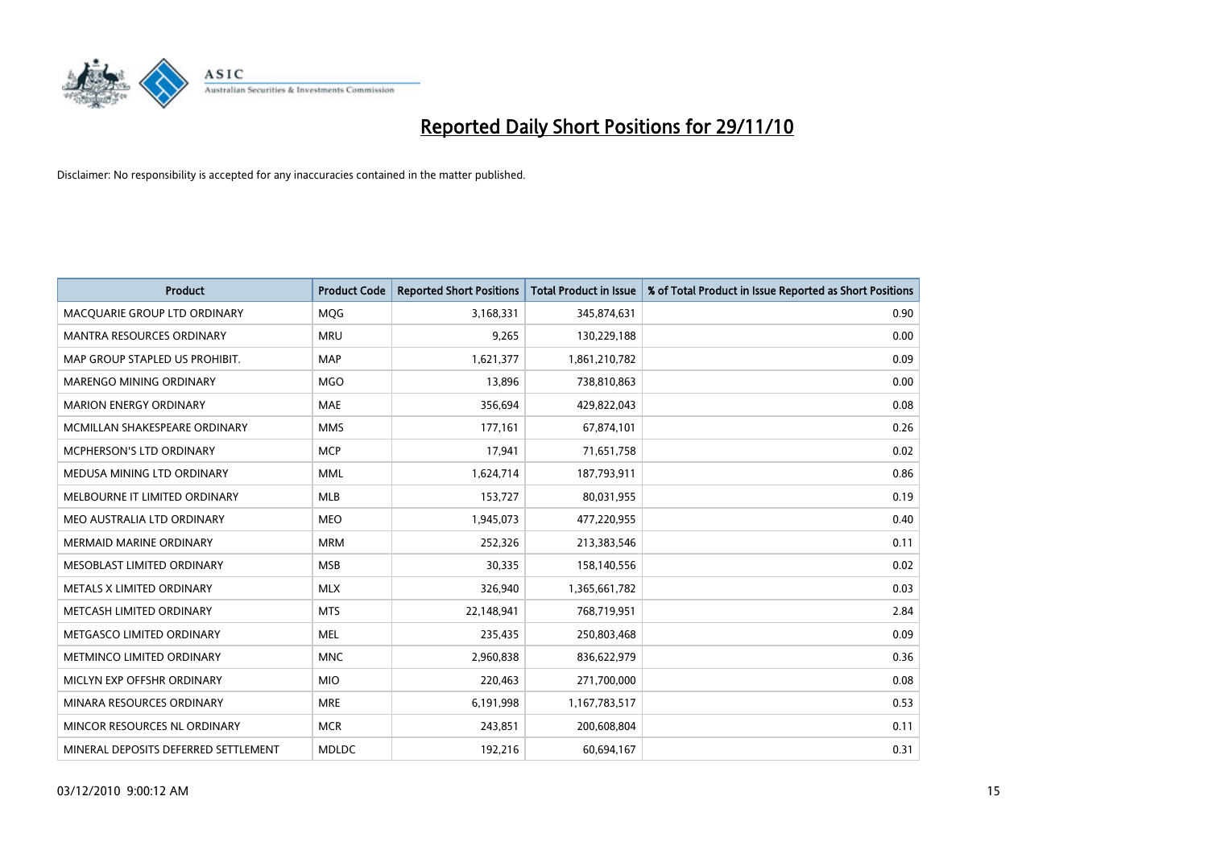

| <b>Product</b>                       | <b>Product Code</b> | <b>Reported Short Positions</b> | <b>Total Product in Issue</b> | % of Total Product in Issue Reported as Short Positions |
|--------------------------------------|---------------------|---------------------------------|-------------------------------|---------------------------------------------------------|
| MACQUARIE GROUP LTD ORDINARY         | <b>MQG</b>          | 3,168,331                       | 345,874,631                   | 0.90                                                    |
| MANTRA RESOURCES ORDINARY            | <b>MRU</b>          | 9,265                           | 130,229,188                   | 0.00                                                    |
| MAP GROUP STAPLED US PROHIBIT.       | <b>MAP</b>          | 1,621,377                       | 1,861,210,782                 | 0.09                                                    |
| MARENGO MINING ORDINARY              | <b>MGO</b>          | 13,896                          | 738,810,863                   | 0.00                                                    |
| <b>MARION ENERGY ORDINARY</b>        | <b>MAE</b>          | 356,694                         | 429,822,043                   | 0.08                                                    |
| MCMILLAN SHAKESPEARE ORDINARY        | <b>MMS</b>          | 177,161                         | 67,874,101                    | 0.26                                                    |
| <b>MCPHERSON'S LTD ORDINARY</b>      | <b>MCP</b>          | 17,941                          | 71,651,758                    | 0.02                                                    |
| MEDUSA MINING LTD ORDINARY           | <b>MML</b>          | 1,624,714                       | 187,793,911                   | 0.86                                                    |
| MELBOURNE IT LIMITED ORDINARY        | MLB                 | 153,727                         | 80,031,955                    | 0.19                                                    |
| MEO AUSTRALIA LTD ORDINARY           | <b>MEO</b>          | 1,945,073                       | 477,220,955                   | 0.40                                                    |
| <b>MERMAID MARINE ORDINARY</b>       | <b>MRM</b>          | 252,326                         | 213,383,546                   | 0.11                                                    |
| MESOBLAST LIMITED ORDINARY           | <b>MSB</b>          | 30,335                          | 158,140,556                   | 0.02                                                    |
| METALS X LIMITED ORDINARY            | <b>MLX</b>          | 326,940                         | 1,365,661,782                 | 0.03                                                    |
| METCASH LIMITED ORDINARY             | <b>MTS</b>          | 22,148,941                      | 768,719,951                   | 2.84                                                    |
| METGASCO LIMITED ORDINARY            | <b>MEL</b>          | 235,435                         | 250,803,468                   | 0.09                                                    |
| METMINCO LIMITED ORDINARY            | <b>MNC</b>          | 2,960,838                       | 836,622,979                   | 0.36                                                    |
| MICLYN EXP OFFSHR ORDINARY           | <b>MIO</b>          | 220,463                         | 271,700,000                   | 0.08                                                    |
| MINARA RESOURCES ORDINARY            | <b>MRE</b>          | 6,191,998                       | 1,167,783,517                 | 0.53                                                    |
| MINCOR RESOURCES NL ORDINARY         | <b>MCR</b>          | 243,851                         | 200,608,804                   | 0.11                                                    |
| MINERAL DEPOSITS DEFERRED SETTLEMENT | <b>MDLDC</b>        | 192,216                         | 60,694,167                    | 0.31                                                    |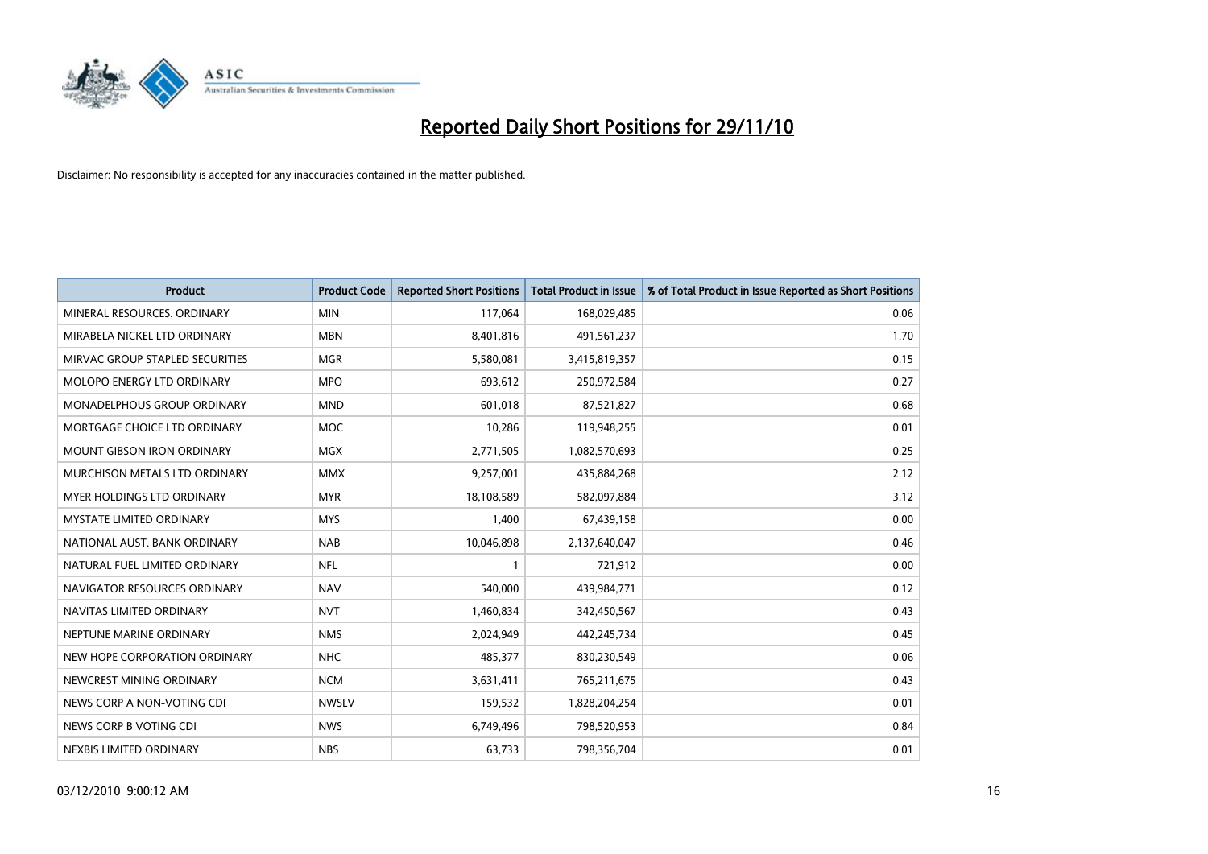

| <b>Product</b>                    | <b>Product Code</b> | <b>Reported Short Positions</b> | <b>Total Product in Issue</b> | % of Total Product in Issue Reported as Short Positions |
|-----------------------------------|---------------------|---------------------------------|-------------------------------|---------------------------------------------------------|
| MINERAL RESOURCES, ORDINARY       | <b>MIN</b>          | 117,064                         | 168,029,485                   | 0.06                                                    |
| MIRABELA NICKEL LTD ORDINARY      | <b>MBN</b>          | 8,401,816                       | 491,561,237                   | 1.70                                                    |
| MIRVAC GROUP STAPLED SECURITIES   | <b>MGR</b>          | 5,580,081                       | 3,415,819,357                 | 0.15                                                    |
| MOLOPO ENERGY LTD ORDINARY        | <b>MPO</b>          | 693,612                         | 250,972,584                   | 0.27                                                    |
| MONADELPHOUS GROUP ORDINARY       | <b>MND</b>          | 601,018                         | 87,521,827                    | 0.68                                                    |
| MORTGAGE CHOICE LTD ORDINARY      | <b>MOC</b>          | 10,286                          | 119,948,255                   | 0.01                                                    |
| <b>MOUNT GIBSON IRON ORDINARY</b> | <b>MGX</b>          | 2,771,505                       | 1,082,570,693                 | 0.25                                                    |
| MURCHISON METALS LTD ORDINARY     | <b>MMX</b>          | 9,257,001                       | 435,884,268                   | 2.12                                                    |
| <b>MYER HOLDINGS LTD ORDINARY</b> | <b>MYR</b>          | 18,108,589                      | 582,097,884                   | 3.12                                                    |
| <b>MYSTATE LIMITED ORDINARY</b>   | <b>MYS</b>          | 1,400                           | 67,439,158                    | 0.00                                                    |
| NATIONAL AUST. BANK ORDINARY      | <b>NAB</b>          | 10,046,898                      | 2,137,640,047                 | 0.46                                                    |
| NATURAL FUEL LIMITED ORDINARY     | <b>NFL</b>          |                                 | 721,912                       | 0.00                                                    |
| NAVIGATOR RESOURCES ORDINARY      | <b>NAV</b>          | 540,000                         | 439,984,771                   | 0.12                                                    |
| NAVITAS LIMITED ORDINARY          | <b>NVT</b>          | 1,460,834                       | 342,450,567                   | 0.43                                                    |
| NEPTUNE MARINE ORDINARY           | <b>NMS</b>          | 2,024,949                       | 442,245,734                   | 0.45                                                    |
| NEW HOPE CORPORATION ORDINARY     | <b>NHC</b>          | 485,377                         | 830,230,549                   | 0.06                                                    |
| NEWCREST MINING ORDINARY          | <b>NCM</b>          | 3,631,411                       | 765,211,675                   | 0.43                                                    |
| NEWS CORP A NON-VOTING CDI        | <b>NWSLV</b>        | 159,532                         | 1,828,204,254                 | 0.01                                                    |
| NEWS CORP B VOTING CDI            | <b>NWS</b>          | 6,749,496                       | 798,520,953                   | 0.84                                                    |
| NEXBIS LIMITED ORDINARY           | <b>NBS</b>          | 63,733                          | 798,356,704                   | 0.01                                                    |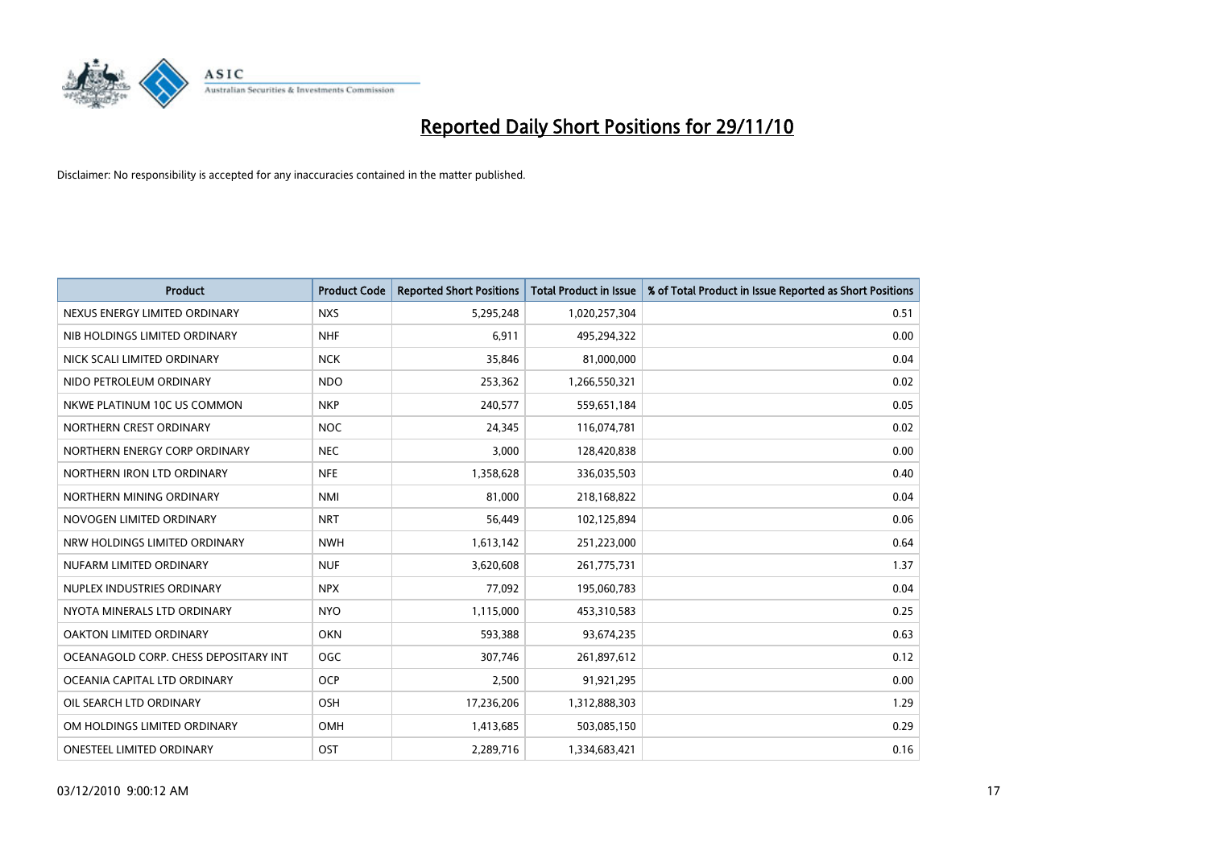

| <b>Product</b>                        | <b>Product Code</b> | <b>Reported Short Positions</b> | <b>Total Product in Issue</b> | % of Total Product in Issue Reported as Short Positions |
|---------------------------------------|---------------------|---------------------------------|-------------------------------|---------------------------------------------------------|
| NEXUS ENERGY LIMITED ORDINARY         | <b>NXS</b>          | 5,295,248                       | 1,020,257,304                 | 0.51                                                    |
| NIB HOLDINGS LIMITED ORDINARY         | <b>NHF</b>          | 6,911                           | 495,294,322                   | 0.00                                                    |
| NICK SCALI LIMITED ORDINARY           | <b>NCK</b>          | 35,846                          | 81,000,000                    | 0.04                                                    |
| NIDO PETROLEUM ORDINARY               | <b>NDO</b>          | 253,362                         | 1,266,550,321                 | 0.02                                                    |
| NKWE PLATINUM 10C US COMMON           | <b>NKP</b>          | 240,577                         | 559,651,184                   | 0.05                                                    |
| NORTHERN CREST ORDINARY               | <b>NOC</b>          | 24,345                          | 116,074,781                   | 0.02                                                    |
| NORTHERN ENERGY CORP ORDINARY         | <b>NEC</b>          | 3,000                           | 128,420,838                   | 0.00                                                    |
| NORTHERN IRON LTD ORDINARY            | <b>NFE</b>          | 1,358,628                       | 336,035,503                   | 0.40                                                    |
| NORTHERN MINING ORDINARY              | <b>NMI</b>          | 81,000                          | 218,168,822                   | 0.04                                                    |
| NOVOGEN LIMITED ORDINARY              | <b>NRT</b>          | 56,449                          | 102,125,894                   | 0.06                                                    |
| NRW HOLDINGS LIMITED ORDINARY         | <b>NWH</b>          | 1,613,142                       | 251,223,000                   | 0.64                                                    |
| NUFARM LIMITED ORDINARY               | <b>NUF</b>          | 3,620,608                       | 261,775,731                   | 1.37                                                    |
| NUPLEX INDUSTRIES ORDINARY            | <b>NPX</b>          | 77,092                          | 195,060,783                   | 0.04                                                    |
| NYOTA MINERALS LTD ORDINARY           | <b>NYO</b>          | 1,115,000                       | 453,310,583                   | 0.25                                                    |
| <b>OAKTON LIMITED ORDINARY</b>        | <b>OKN</b>          | 593,388                         | 93,674,235                    | 0.63                                                    |
| OCEANAGOLD CORP. CHESS DEPOSITARY INT | OGC                 | 307,746                         | 261,897,612                   | 0.12                                                    |
| OCEANIA CAPITAL LTD ORDINARY          | <b>OCP</b>          | 2,500                           | 91,921,295                    | 0.00                                                    |
| OIL SEARCH LTD ORDINARY               | OSH                 | 17,236,206                      | 1,312,888,303                 | 1.29                                                    |
| OM HOLDINGS LIMITED ORDINARY          | <b>OMH</b>          | 1,413,685                       | 503,085,150                   | 0.29                                                    |
| <b>ONESTEEL LIMITED ORDINARY</b>      | OST                 | 2.289.716                       | 1,334,683,421                 | 0.16                                                    |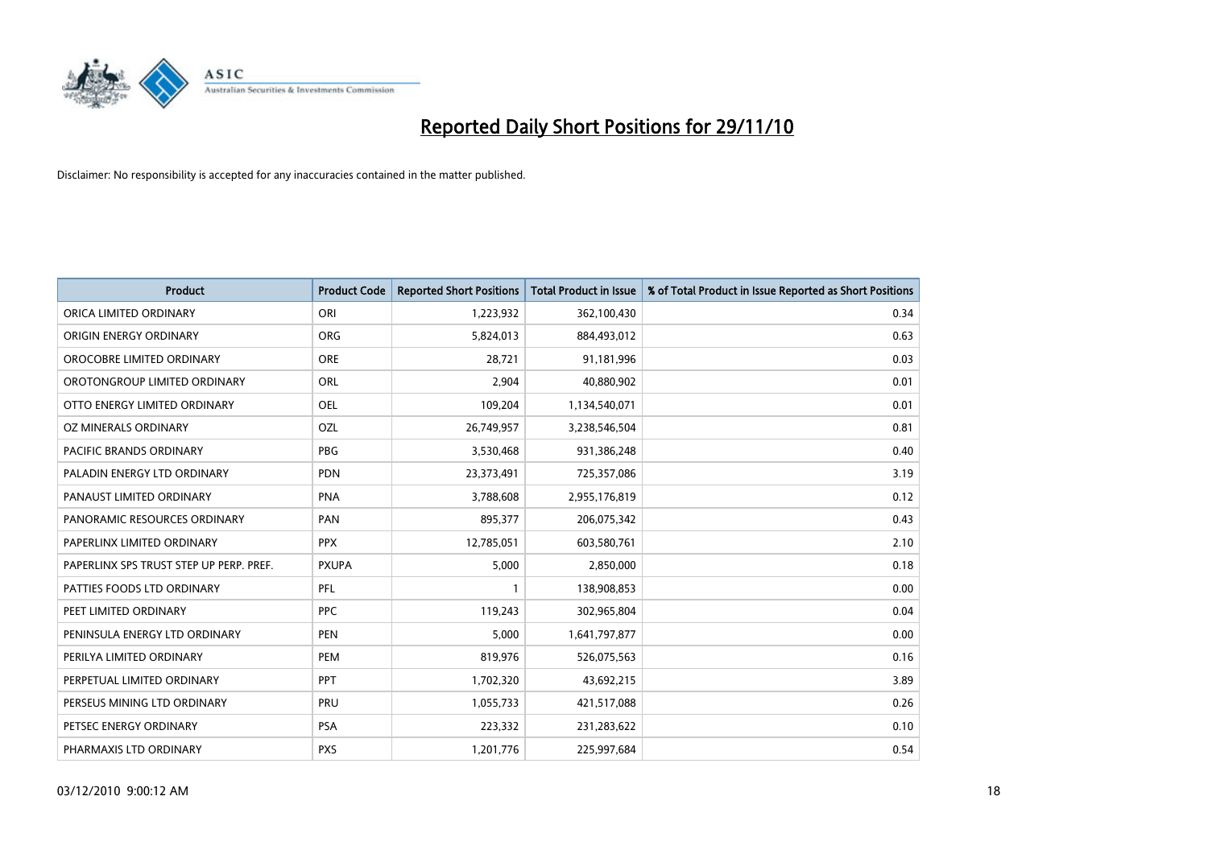

| <b>Product</b>                          | <b>Product Code</b> | <b>Reported Short Positions</b> | <b>Total Product in Issue</b> | % of Total Product in Issue Reported as Short Positions |
|-----------------------------------------|---------------------|---------------------------------|-------------------------------|---------------------------------------------------------|
| ORICA LIMITED ORDINARY                  | ORI                 | 1,223,932                       | 362,100,430                   | 0.34                                                    |
| ORIGIN ENERGY ORDINARY                  | <b>ORG</b>          | 5,824,013                       | 884,493,012                   | 0.63                                                    |
| OROCOBRE LIMITED ORDINARY               | <b>ORE</b>          | 28,721                          | 91,181,996                    | 0.03                                                    |
| OROTONGROUP LIMITED ORDINARY            | ORL                 | 2,904                           | 40,880,902                    | 0.01                                                    |
| OTTO ENERGY LIMITED ORDINARY            | OEL                 | 109,204                         | 1,134,540,071                 | 0.01                                                    |
| OZ MINERALS ORDINARY                    | OZL                 | 26,749,957                      | 3,238,546,504                 | 0.81                                                    |
| <b>PACIFIC BRANDS ORDINARY</b>          | PBG                 | 3,530,468                       | 931,386,248                   | 0.40                                                    |
| PALADIN ENERGY LTD ORDINARY             | <b>PDN</b>          | 23,373,491                      | 725,357,086                   | 3.19                                                    |
| PANAUST LIMITED ORDINARY                | <b>PNA</b>          | 3,788,608                       | 2,955,176,819                 | 0.12                                                    |
| PANORAMIC RESOURCES ORDINARY            | PAN                 | 895,377                         | 206,075,342                   | 0.43                                                    |
| PAPERLINX LIMITED ORDINARY              | <b>PPX</b>          | 12,785,051                      | 603,580,761                   | 2.10                                                    |
| PAPERLINX SPS TRUST STEP UP PERP. PREF. | <b>PXUPA</b>        | 5,000                           | 2,850,000                     | 0.18                                                    |
| PATTIES FOODS LTD ORDINARY              | PFL                 |                                 | 138,908,853                   | 0.00                                                    |
| PEET LIMITED ORDINARY                   | <b>PPC</b>          | 119,243                         | 302,965,804                   | 0.04                                                    |
| PENINSULA ENERGY LTD ORDINARY           | <b>PEN</b>          | 5,000                           | 1,641,797,877                 | 0.00                                                    |
| PERILYA LIMITED ORDINARY                | PEM                 | 819,976                         | 526,075,563                   | 0.16                                                    |
| PERPETUAL LIMITED ORDINARY              | PPT                 | 1,702,320                       | 43,692,215                    | 3.89                                                    |
| PERSEUS MINING LTD ORDINARY             | PRU                 | 1,055,733                       | 421,517,088                   | 0.26                                                    |
| PETSEC ENERGY ORDINARY                  | <b>PSA</b>          | 223,332                         | 231,283,622                   | 0.10                                                    |
| PHARMAXIS LTD ORDINARY                  | <b>PXS</b>          | 1,201,776                       | 225,997,684                   | 0.54                                                    |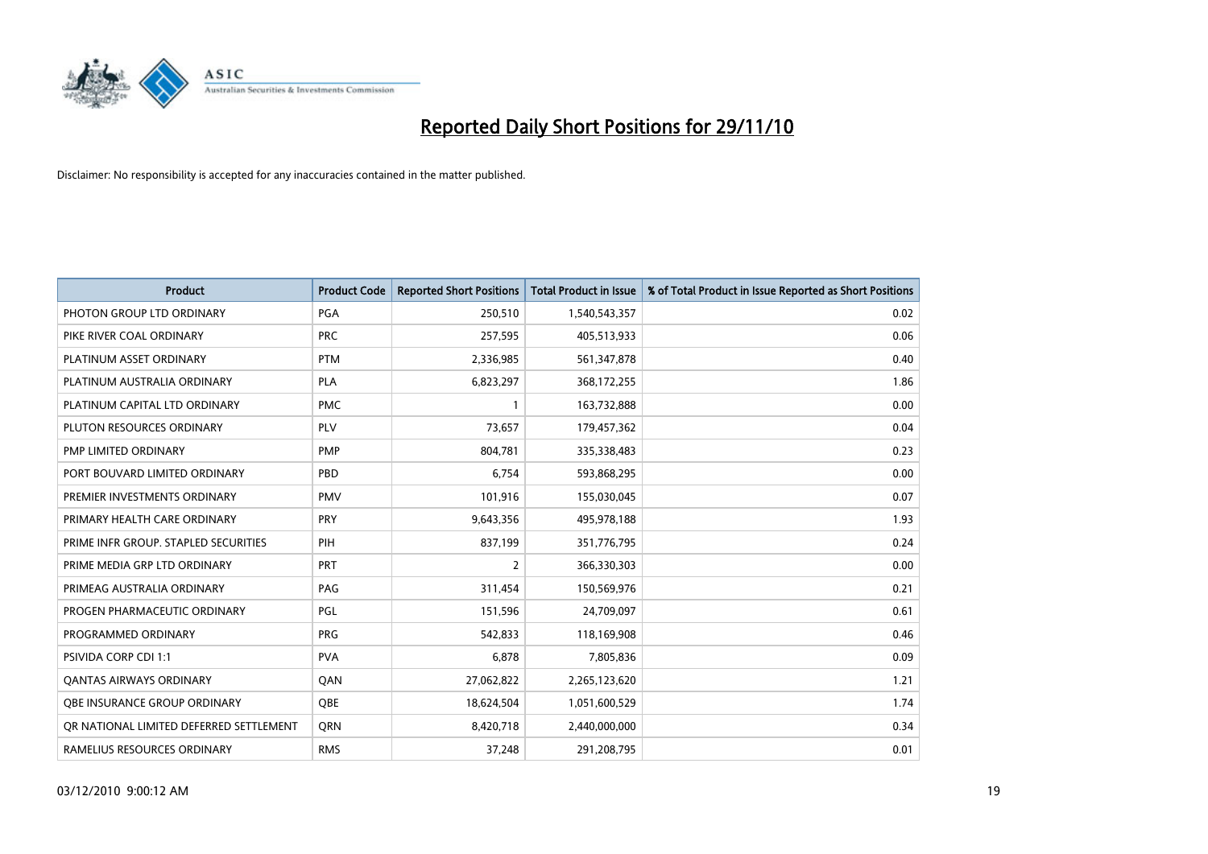

| <b>Product</b>                          | <b>Product Code</b> | <b>Reported Short Positions</b> | <b>Total Product in Issue</b> | % of Total Product in Issue Reported as Short Positions |
|-----------------------------------------|---------------------|---------------------------------|-------------------------------|---------------------------------------------------------|
| PHOTON GROUP LTD ORDINARY               | PGA                 | 250,510                         | 1,540,543,357                 | 0.02                                                    |
| PIKE RIVER COAL ORDINARY                | <b>PRC</b>          | 257,595                         | 405,513,933                   | 0.06                                                    |
| PLATINUM ASSET ORDINARY                 | <b>PTM</b>          | 2,336,985                       | 561,347,878                   | 0.40                                                    |
| PLATINUM AUSTRALIA ORDINARY             | <b>PLA</b>          | 6,823,297                       | 368,172,255                   | 1.86                                                    |
| PLATINUM CAPITAL LTD ORDINARY           | <b>PMC</b>          |                                 | 163,732,888                   | 0.00                                                    |
| PLUTON RESOURCES ORDINARY               | PLV                 | 73,657                          | 179,457,362                   | 0.04                                                    |
| PMP LIMITED ORDINARY                    | <b>PMP</b>          | 804,781                         | 335,338,483                   | 0.23                                                    |
| PORT BOUVARD LIMITED ORDINARY           | PBD                 | 6,754                           | 593,868,295                   | 0.00                                                    |
| PREMIER INVESTMENTS ORDINARY            | <b>PMV</b>          | 101,916                         | 155,030,045                   | 0.07                                                    |
| PRIMARY HEALTH CARE ORDINARY            | <b>PRY</b>          | 9,643,356                       | 495,978,188                   | 1.93                                                    |
| PRIME INFR GROUP. STAPLED SECURITIES    | PIH                 | 837,199                         | 351,776,795                   | 0.24                                                    |
| PRIME MEDIA GRP LTD ORDINARY            | PRT                 | 2                               | 366,330,303                   | 0.00                                                    |
| PRIMEAG AUSTRALIA ORDINARY              | PAG                 | 311,454                         | 150,569,976                   | 0.21                                                    |
| PROGEN PHARMACEUTIC ORDINARY            | PGL                 | 151,596                         | 24,709,097                    | 0.61                                                    |
| PROGRAMMED ORDINARY                     | <b>PRG</b>          | 542,833                         | 118,169,908                   | 0.46                                                    |
| <b>PSIVIDA CORP CDI 1:1</b>             | <b>PVA</b>          | 6,878                           | 7,805,836                     | 0.09                                                    |
| <b>QANTAS AIRWAYS ORDINARY</b>          | QAN                 | 27,062,822                      | 2,265,123,620                 | 1.21                                                    |
| <b>OBE INSURANCE GROUP ORDINARY</b>     | OBE                 | 18,624,504                      | 1,051,600,529                 | 1.74                                                    |
| OR NATIONAL LIMITED DEFERRED SETTLEMENT | <b>ORN</b>          | 8,420,718                       | 2,440,000,000                 | 0.34                                                    |
| RAMELIUS RESOURCES ORDINARY             | <b>RMS</b>          | 37,248                          | 291,208,795                   | 0.01                                                    |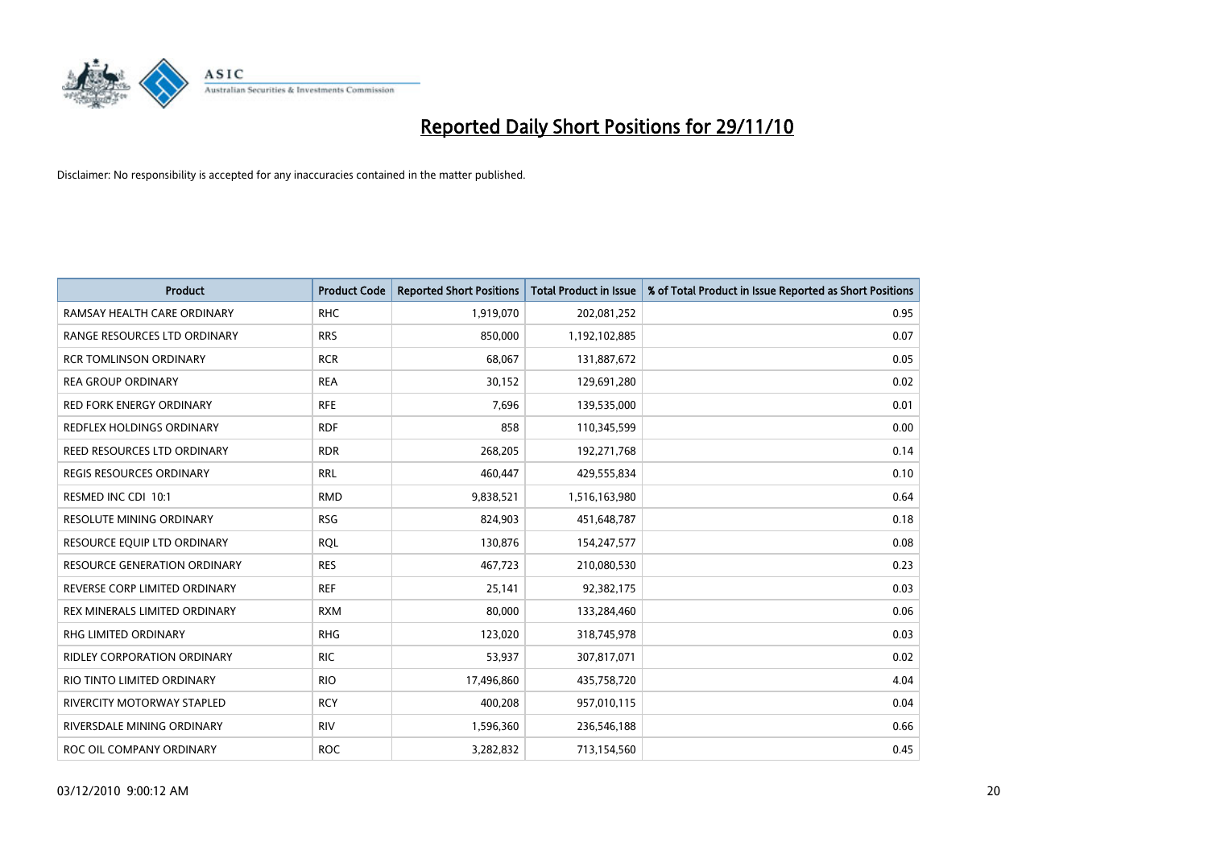

| <b>Product</b>                      | <b>Product Code</b> | <b>Reported Short Positions</b> | Total Product in Issue | % of Total Product in Issue Reported as Short Positions |
|-------------------------------------|---------------------|---------------------------------|------------------------|---------------------------------------------------------|
| RAMSAY HEALTH CARE ORDINARY         | <b>RHC</b>          | 1,919,070                       | 202,081,252            | 0.95                                                    |
| RANGE RESOURCES LTD ORDINARY        | <b>RRS</b>          | 850,000                         | 1,192,102,885          | 0.07                                                    |
| <b>RCR TOMLINSON ORDINARY</b>       | <b>RCR</b>          | 68,067                          | 131,887,672            | 0.05                                                    |
| <b>REA GROUP ORDINARY</b>           | <b>REA</b>          | 30,152                          | 129,691,280            | 0.02                                                    |
| <b>RED FORK ENERGY ORDINARY</b>     | <b>RFE</b>          | 7,696                           | 139,535,000            | 0.01                                                    |
| <b>REDFLEX HOLDINGS ORDINARY</b>    | <b>RDF</b>          | 858                             | 110,345,599            | 0.00                                                    |
| REED RESOURCES LTD ORDINARY         | <b>RDR</b>          | 268,205                         | 192,271,768            | 0.14                                                    |
| REGIS RESOURCES ORDINARY            | <b>RRL</b>          | 460,447                         | 429,555,834            | 0.10                                                    |
| RESMED INC CDI 10:1                 | <b>RMD</b>          | 9,838,521                       | 1,516,163,980          | 0.64                                                    |
| <b>RESOLUTE MINING ORDINARY</b>     | <b>RSG</b>          | 824,903                         | 451,648,787            | 0.18                                                    |
| RESOURCE EQUIP LTD ORDINARY         | <b>RQL</b>          | 130,876                         | 154,247,577            | 0.08                                                    |
| <b>RESOURCE GENERATION ORDINARY</b> | <b>RES</b>          | 467,723                         | 210,080,530            | 0.23                                                    |
| REVERSE CORP LIMITED ORDINARY       | <b>REF</b>          | 25,141                          | 92,382,175             | 0.03                                                    |
| REX MINERALS LIMITED ORDINARY       | <b>RXM</b>          | 80,000                          | 133,284,460            | 0.06                                                    |
| <b>RHG LIMITED ORDINARY</b>         | <b>RHG</b>          | 123,020                         | 318,745,978            | 0.03                                                    |
| <b>RIDLEY CORPORATION ORDINARY</b>  | <b>RIC</b>          | 53,937                          | 307,817,071            | 0.02                                                    |
| RIO TINTO LIMITED ORDINARY          | <b>RIO</b>          | 17,496,860                      | 435,758,720            | 4.04                                                    |
| RIVERCITY MOTORWAY STAPLED          | <b>RCY</b>          | 400,208                         | 957,010,115            | 0.04                                                    |
| RIVERSDALE MINING ORDINARY          | <b>RIV</b>          | 1,596,360                       | 236,546,188            | 0.66                                                    |
| ROC OIL COMPANY ORDINARY            | <b>ROC</b>          | 3,282,832                       | 713,154,560            | 0.45                                                    |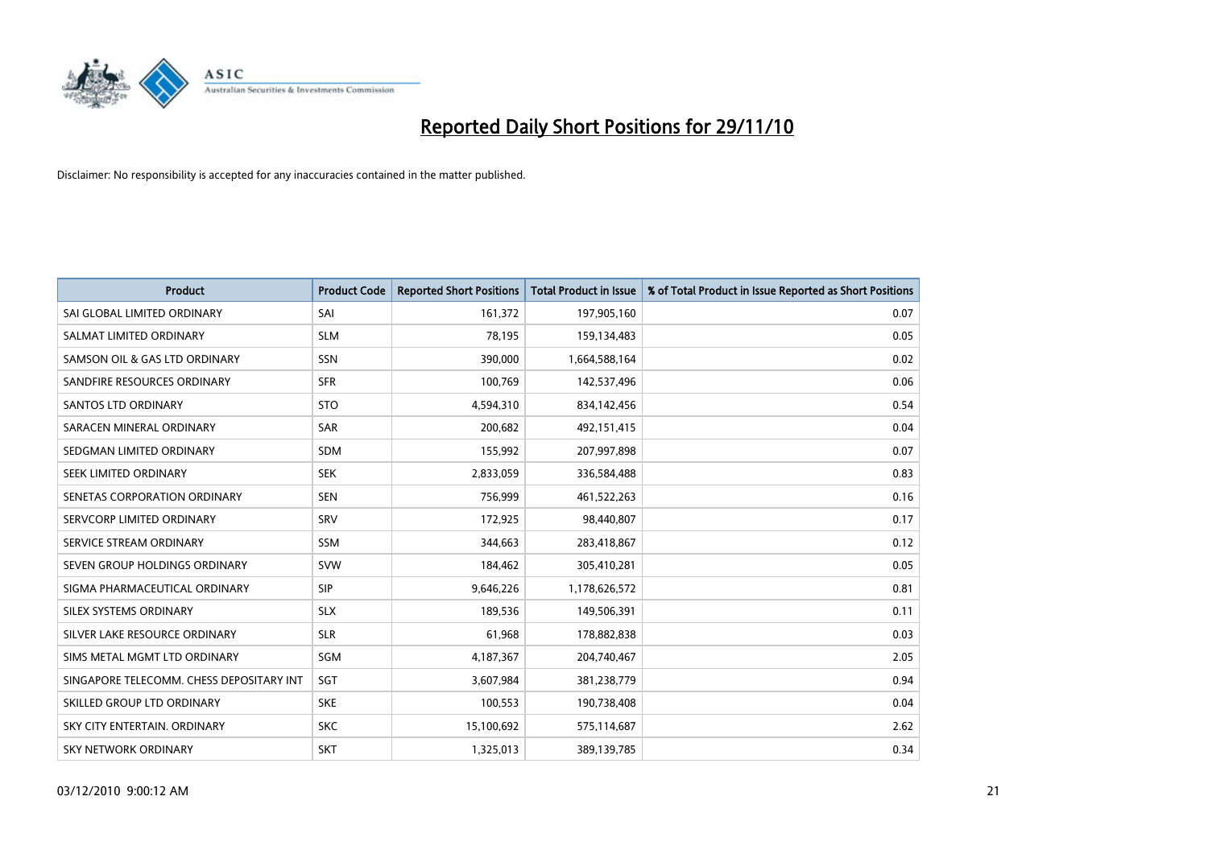

| <b>Product</b>                           | <b>Product Code</b> | <b>Reported Short Positions</b> | Total Product in Issue | % of Total Product in Issue Reported as Short Positions |
|------------------------------------------|---------------------|---------------------------------|------------------------|---------------------------------------------------------|
| SAI GLOBAL LIMITED ORDINARY              | SAI                 | 161,372                         | 197,905,160            | 0.07                                                    |
| SALMAT LIMITED ORDINARY                  | <b>SLM</b>          | 78,195                          | 159,134,483            | 0.05                                                    |
| SAMSON OIL & GAS LTD ORDINARY            | SSN                 | 390,000                         | 1,664,588,164          | 0.02                                                    |
| SANDFIRE RESOURCES ORDINARY              | <b>SFR</b>          | 100,769                         | 142,537,496            | 0.06                                                    |
| <b>SANTOS LTD ORDINARY</b>               | <b>STO</b>          | 4,594,310                       | 834,142,456            | 0.54                                                    |
| SARACEN MINERAL ORDINARY                 | <b>SAR</b>          | 200,682                         | 492,151,415            | 0.04                                                    |
| SEDGMAN LIMITED ORDINARY                 | <b>SDM</b>          | 155,992                         | 207,997,898            | 0.07                                                    |
| SEEK LIMITED ORDINARY                    | <b>SEK</b>          | 2,833,059                       | 336,584,488            | 0.83                                                    |
| SENETAS CORPORATION ORDINARY             | <b>SEN</b>          | 756,999                         | 461,522,263            | 0.16                                                    |
| SERVCORP LIMITED ORDINARY                | SRV                 | 172,925                         | 98,440,807             | 0.17                                                    |
| SERVICE STREAM ORDINARY                  | <b>SSM</b>          | 344,663                         | 283,418,867            | 0.12                                                    |
| SEVEN GROUP HOLDINGS ORDINARY            | <b>SVW</b>          | 184,462                         | 305,410,281            | 0.05                                                    |
| SIGMA PHARMACEUTICAL ORDINARY            | SIP                 | 9,646,226                       | 1,178,626,572          | 0.81                                                    |
| SILEX SYSTEMS ORDINARY                   | <b>SLX</b>          | 189,536                         | 149,506,391            | 0.11                                                    |
| SILVER LAKE RESOURCE ORDINARY            | <b>SLR</b>          | 61,968                          | 178,882,838            | 0.03                                                    |
| SIMS METAL MGMT LTD ORDINARY             | SGM                 | 4,187,367                       | 204,740,467            | 2.05                                                    |
| SINGAPORE TELECOMM. CHESS DEPOSITARY INT | SGT                 | 3,607,984                       | 381,238,779            | 0.94                                                    |
| SKILLED GROUP LTD ORDINARY               | <b>SKE</b>          | 100,553                         | 190,738,408            | 0.04                                                    |
| SKY CITY ENTERTAIN, ORDINARY             | <b>SKC</b>          | 15,100,692                      | 575,114,687            | 2.62                                                    |
| SKY NETWORK ORDINARY                     | <b>SKT</b>          | 1,325,013                       | 389,139,785            | 0.34                                                    |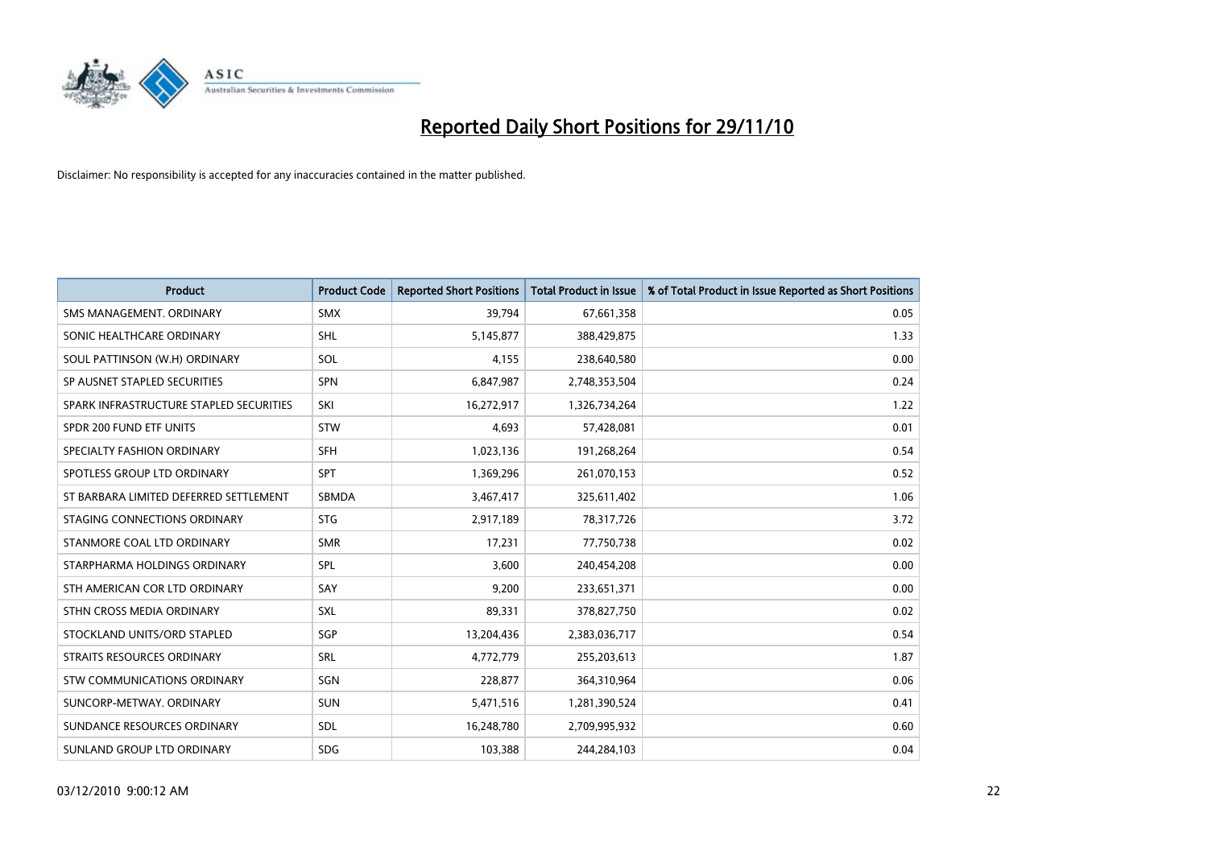

| <b>Product</b>                          | <b>Product Code</b> | <b>Reported Short Positions</b> | <b>Total Product in Issue</b> | % of Total Product in Issue Reported as Short Positions |
|-----------------------------------------|---------------------|---------------------------------|-------------------------------|---------------------------------------------------------|
| SMS MANAGEMENT, ORDINARY                | <b>SMX</b>          | 39,794                          | 67,661,358                    | 0.05                                                    |
| SONIC HEALTHCARE ORDINARY               | <b>SHL</b>          | 5,145,877                       | 388,429,875                   | 1.33                                                    |
| SOUL PATTINSON (W.H) ORDINARY           | SOL                 | 4,155                           | 238,640,580                   | 0.00                                                    |
| SP AUSNET STAPLED SECURITIES            | <b>SPN</b>          | 6,847,987                       | 2,748,353,504                 | 0.24                                                    |
| SPARK INFRASTRUCTURE STAPLED SECURITIES | SKI                 | 16,272,917                      | 1,326,734,264                 | 1.22                                                    |
| SPDR 200 FUND ETF UNITS                 | STW                 | 4,693                           | 57,428,081                    | 0.01                                                    |
| SPECIALTY FASHION ORDINARY              | SFH                 | 1,023,136                       | 191,268,264                   | 0.54                                                    |
| SPOTLESS GROUP LTD ORDINARY             | SPT                 | 1,369,296                       | 261,070,153                   | 0.52                                                    |
| ST BARBARA LIMITED DEFERRED SETTLEMENT  | SBMDA               | 3,467,417                       | 325,611,402                   | 1.06                                                    |
| STAGING CONNECTIONS ORDINARY            | <b>STG</b>          | 2,917,189                       | 78,317,726                    | 3.72                                                    |
| STANMORE COAL LTD ORDINARY              | <b>SMR</b>          | 17,231                          | 77,750,738                    | 0.02                                                    |
| STARPHARMA HOLDINGS ORDINARY            | SPL                 | 3,600                           | 240,454,208                   | 0.00                                                    |
| STH AMERICAN COR LTD ORDINARY           | SAY                 | 9,200                           | 233,651,371                   | 0.00                                                    |
| STHN CROSS MEDIA ORDINARY               | SXL                 | 89,331                          | 378,827,750                   | 0.02                                                    |
| STOCKLAND UNITS/ORD STAPLED             | SGP                 | 13,204,436                      | 2,383,036,717                 | 0.54                                                    |
| STRAITS RESOURCES ORDINARY              | SRL                 | 4,772,779                       | 255,203,613                   | 1.87                                                    |
| STW COMMUNICATIONS ORDINARY             | SGN                 | 228,877                         | 364,310,964                   | 0.06                                                    |
| SUNCORP-METWAY, ORDINARY                | <b>SUN</b>          | 5,471,516                       | 1,281,390,524                 | 0.41                                                    |
| SUNDANCE RESOURCES ORDINARY             | <b>SDL</b>          | 16,248,780                      | 2,709,995,932                 | 0.60                                                    |
| SUNLAND GROUP LTD ORDINARY              | <b>SDG</b>          | 103,388                         | 244,284,103                   | 0.04                                                    |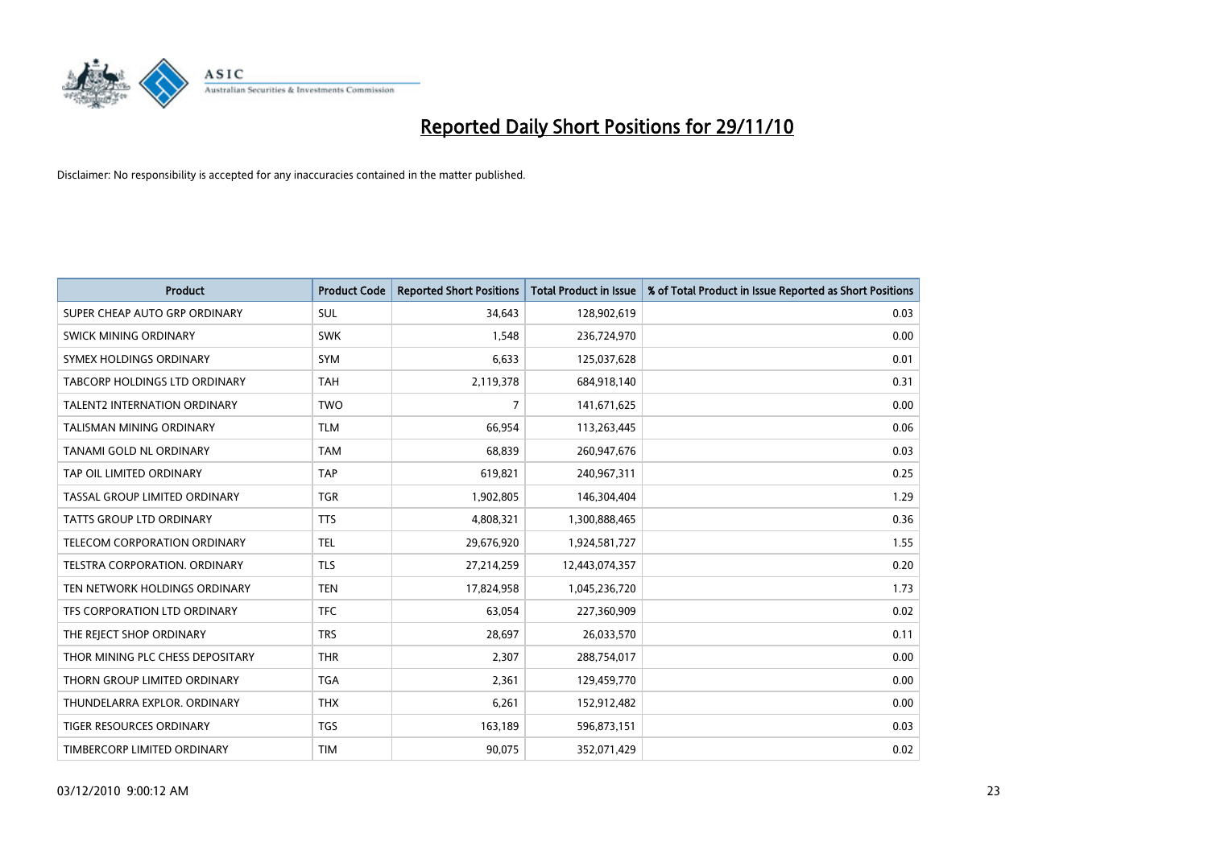

| <b>Product</b>                       | <b>Product Code</b> | <b>Reported Short Positions</b> | <b>Total Product in Issue</b> | % of Total Product in Issue Reported as Short Positions |
|--------------------------------------|---------------------|---------------------------------|-------------------------------|---------------------------------------------------------|
| SUPER CHEAP AUTO GRP ORDINARY        | <b>SUL</b>          | 34,643                          | 128,902,619                   | 0.03                                                    |
| SWICK MINING ORDINARY                | <b>SWK</b>          | 1,548                           | 236,724,970                   | 0.00                                                    |
| SYMEX HOLDINGS ORDINARY              | SYM                 | 6,633                           | 125,037,628                   | 0.01                                                    |
| TABCORP HOLDINGS LTD ORDINARY        | <b>TAH</b>          | 2,119,378                       | 684,918,140                   | 0.31                                                    |
| <b>TALENT2 INTERNATION ORDINARY</b>  | <b>TWO</b>          | $\overline{7}$                  | 141,671,625                   | 0.00                                                    |
| <b>TALISMAN MINING ORDINARY</b>      | <b>TLM</b>          | 66,954                          | 113,263,445                   | 0.06                                                    |
| TANAMI GOLD NL ORDINARY              | <b>TAM</b>          | 68,839                          | 260,947,676                   | 0.03                                                    |
| TAP OIL LIMITED ORDINARY             | <b>TAP</b>          | 619,821                         | 240,967,311                   | 0.25                                                    |
| TASSAL GROUP LIMITED ORDINARY        | <b>TGR</b>          | 1,902,805                       | 146,304,404                   | 1.29                                                    |
| <b>TATTS GROUP LTD ORDINARY</b>      | <b>TTS</b>          | 4,808,321                       | 1,300,888,465                 | 0.36                                                    |
| TELECOM CORPORATION ORDINARY         | <b>TEL</b>          | 29,676,920                      | 1,924,581,727                 | 1.55                                                    |
| <b>TELSTRA CORPORATION, ORDINARY</b> | <b>TLS</b>          | 27,214,259                      | 12,443,074,357                | 0.20                                                    |
| TEN NETWORK HOLDINGS ORDINARY        | <b>TEN</b>          | 17,824,958                      | 1,045,236,720                 | 1.73                                                    |
| TFS CORPORATION LTD ORDINARY         | <b>TFC</b>          | 63,054                          | 227,360,909                   | 0.02                                                    |
| THE REJECT SHOP ORDINARY             | <b>TRS</b>          | 28,697                          | 26,033,570                    | 0.11                                                    |
| THOR MINING PLC CHESS DEPOSITARY     | <b>THR</b>          | 2,307                           | 288,754,017                   | 0.00                                                    |
| THORN GROUP LIMITED ORDINARY         | <b>TGA</b>          | 2,361                           | 129,459,770                   | 0.00                                                    |
| THUNDELARRA EXPLOR. ORDINARY         | <b>THX</b>          | 6,261                           | 152,912,482                   | 0.00                                                    |
| <b>TIGER RESOURCES ORDINARY</b>      | <b>TGS</b>          | 163,189                         | 596,873,151                   | 0.03                                                    |
| TIMBERCORP LIMITED ORDINARY          | <b>TIM</b>          | 90,075                          | 352,071,429                   | 0.02                                                    |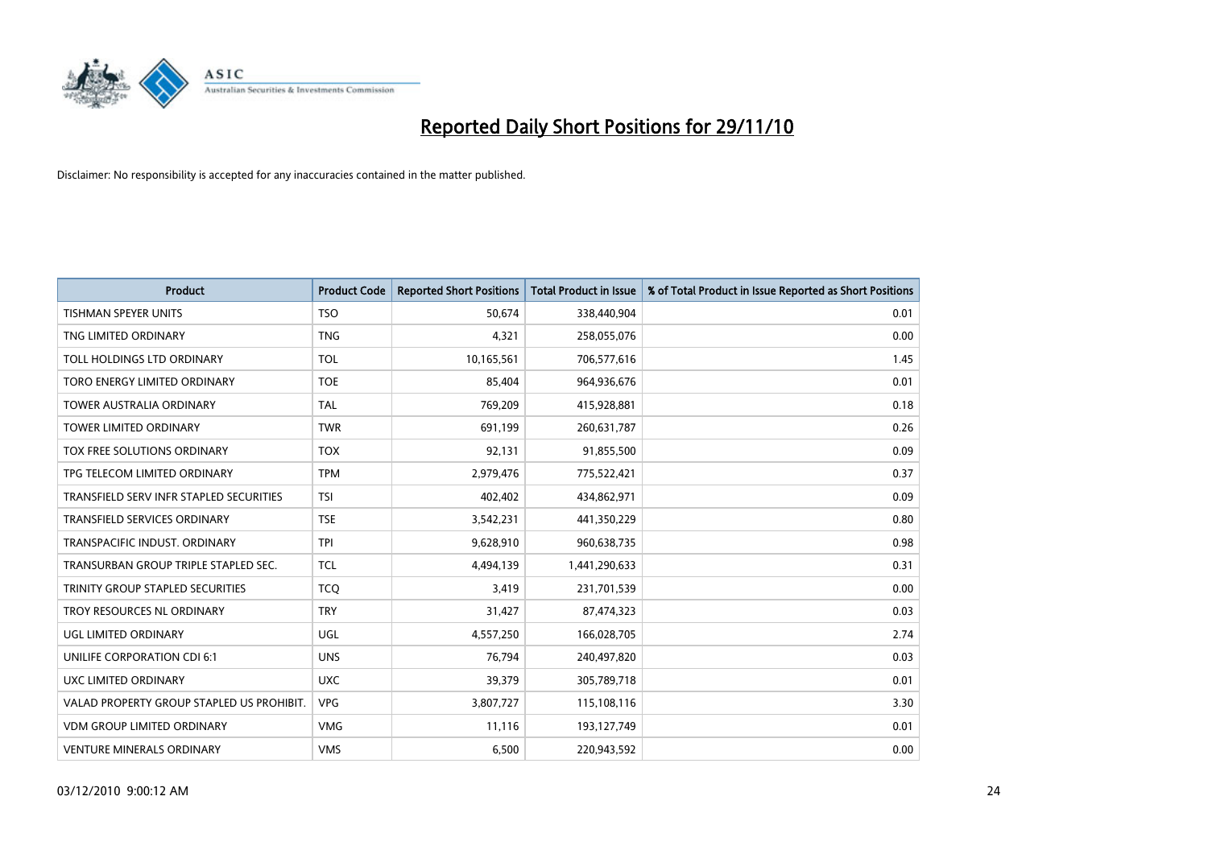

| <b>Product</b>                            | <b>Product Code</b> | <b>Reported Short Positions</b> | Total Product in Issue | % of Total Product in Issue Reported as Short Positions |
|-------------------------------------------|---------------------|---------------------------------|------------------------|---------------------------------------------------------|
| <b>TISHMAN SPEYER UNITS</b>               | <b>TSO</b>          | 50.674                          | 338,440,904            | 0.01                                                    |
| TNG LIMITED ORDINARY                      | <b>TNG</b>          | 4,321                           | 258,055,076            | 0.00                                                    |
| TOLL HOLDINGS LTD ORDINARY                | <b>TOL</b>          | 10,165,561                      | 706,577,616            | 1.45                                                    |
| TORO ENERGY LIMITED ORDINARY              | <b>TOE</b>          | 85,404                          | 964,936,676            | 0.01                                                    |
| <b>TOWER AUSTRALIA ORDINARY</b>           | <b>TAL</b>          | 769,209                         | 415,928,881            | 0.18                                                    |
| <b>TOWER LIMITED ORDINARY</b>             | <b>TWR</b>          | 691,199                         | 260,631,787            | 0.26                                                    |
| TOX FREE SOLUTIONS ORDINARY               | <b>TOX</b>          | 92,131                          | 91,855,500             | 0.09                                                    |
| TPG TELECOM LIMITED ORDINARY              | <b>TPM</b>          | 2,979,476                       | 775,522,421            | 0.37                                                    |
| TRANSFIELD SERV INFR STAPLED SECURITIES   | <b>TSI</b>          | 402,402                         | 434,862,971            | 0.09                                                    |
| <b>TRANSFIELD SERVICES ORDINARY</b>       | <b>TSE</b>          | 3,542,231                       | 441,350,229            | 0.80                                                    |
| TRANSPACIFIC INDUST. ORDINARY             | <b>TPI</b>          | 9,628,910                       | 960,638,735            | 0.98                                                    |
| TRANSURBAN GROUP TRIPLE STAPLED SEC.      | <b>TCL</b>          | 4,494,139                       | 1,441,290,633          | 0.31                                                    |
| TRINITY GROUP STAPLED SECURITIES          | <b>TCQ</b>          | 3,419                           | 231,701,539            | 0.00                                                    |
| TROY RESOURCES NL ORDINARY                | <b>TRY</b>          | 31,427                          | 87,474,323             | 0.03                                                    |
| UGL LIMITED ORDINARY                      | UGL                 | 4,557,250                       | 166,028,705            | 2.74                                                    |
| UNILIFE CORPORATION CDI 6:1               | <b>UNS</b>          | 76,794                          | 240,497,820            | 0.03                                                    |
| UXC LIMITED ORDINARY                      | <b>UXC</b>          | 39,379                          | 305,789,718            | 0.01                                                    |
| VALAD PROPERTY GROUP STAPLED US PROHIBIT. | <b>VPG</b>          | 3,807,727                       | 115,108,116            | 3.30                                                    |
| <b>VDM GROUP LIMITED ORDINARY</b>         | <b>VMG</b>          | 11,116                          | 193,127,749            | 0.01                                                    |
| <b>VENTURE MINERALS ORDINARY</b>          | <b>VMS</b>          | 6,500                           | 220,943,592            | 0.00                                                    |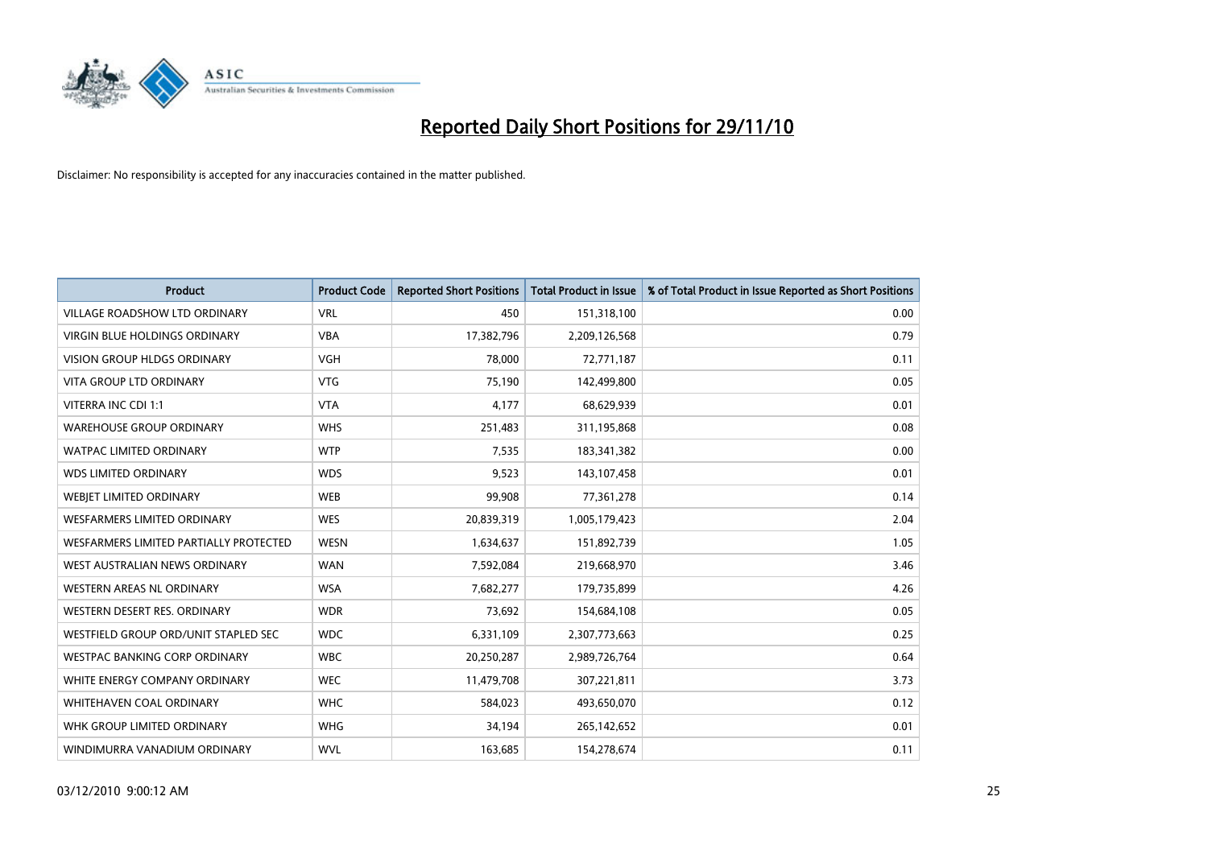

| <b>Product</b>                         | <b>Product Code</b> | <b>Reported Short Positions</b> | <b>Total Product in Issue</b> | % of Total Product in Issue Reported as Short Positions |
|----------------------------------------|---------------------|---------------------------------|-------------------------------|---------------------------------------------------------|
| <b>VILLAGE ROADSHOW LTD ORDINARY</b>   | <b>VRL</b>          | 450                             | 151,318,100                   | 0.00                                                    |
| VIRGIN BLUE HOLDINGS ORDINARY          | <b>VBA</b>          | 17,382,796                      | 2,209,126,568                 | 0.79                                                    |
| <b>VISION GROUP HLDGS ORDINARY</b>     | <b>VGH</b>          | 78,000                          | 72,771,187                    | 0.11                                                    |
| <b>VITA GROUP LTD ORDINARY</b>         | <b>VTG</b>          | 75,190                          | 142,499,800                   | 0.05                                                    |
| VITERRA INC CDI 1:1                    | <b>VTA</b>          | 4,177                           | 68,629,939                    | 0.01                                                    |
| <b>WAREHOUSE GROUP ORDINARY</b>        | <b>WHS</b>          | 251,483                         | 311,195,868                   | 0.08                                                    |
| <b>WATPAC LIMITED ORDINARY</b>         | <b>WTP</b>          | 7,535                           | 183,341,382                   | 0.00                                                    |
| <b>WDS LIMITED ORDINARY</b>            | <b>WDS</b>          | 9,523                           | 143,107,458                   | 0.01                                                    |
| WEBJET LIMITED ORDINARY                | <b>WEB</b>          | 99,908                          | 77,361,278                    | 0.14                                                    |
| <b>WESFARMERS LIMITED ORDINARY</b>     | <b>WES</b>          | 20,839,319                      | 1,005,179,423                 | 2.04                                                    |
| WESFARMERS LIMITED PARTIALLY PROTECTED | <b>WESN</b>         | 1,634,637                       | 151,892,739                   | 1.05                                                    |
| WEST AUSTRALIAN NEWS ORDINARY          | <b>WAN</b>          | 7,592,084                       | 219,668,970                   | 3.46                                                    |
| WESTERN AREAS NL ORDINARY              | <b>WSA</b>          | 7,682,277                       | 179,735,899                   | 4.26                                                    |
| WESTERN DESERT RES. ORDINARY           | <b>WDR</b>          | 73,692                          | 154,684,108                   | 0.05                                                    |
| WESTFIELD GROUP ORD/UNIT STAPLED SEC   | <b>WDC</b>          | 6,331,109                       | 2,307,773,663                 | 0.25                                                    |
| <b>WESTPAC BANKING CORP ORDINARY</b>   | <b>WBC</b>          | 20,250,287                      | 2,989,726,764                 | 0.64                                                    |
| WHITE ENERGY COMPANY ORDINARY          | <b>WEC</b>          | 11,479,708                      | 307,221,811                   | 3.73                                                    |
| WHITEHAVEN COAL ORDINARY               | <b>WHC</b>          | 584,023                         | 493,650,070                   | 0.12                                                    |
| WHK GROUP LIMITED ORDINARY             | <b>WHG</b>          | 34,194                          | 265,142,652                   | 0.01                                                    |
| WINDIMURRA VANADIUM ORDINARY           | <b>WVL</b>          | 163,685                         | 154,278,674                   | 0.11                                                    |